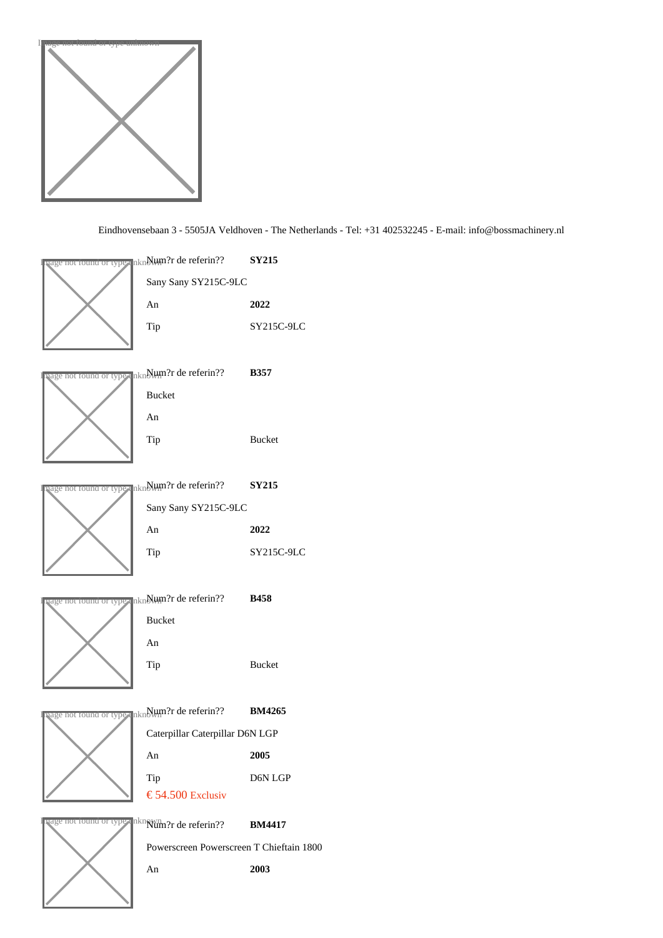

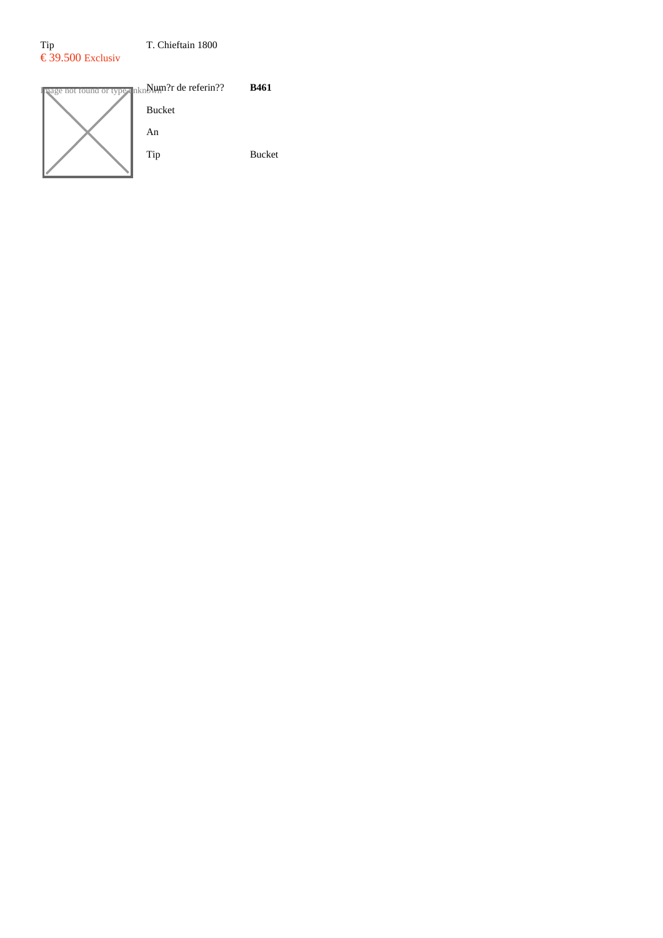# Tip T. Chieftain 1800 € 39.500 Exclusiv

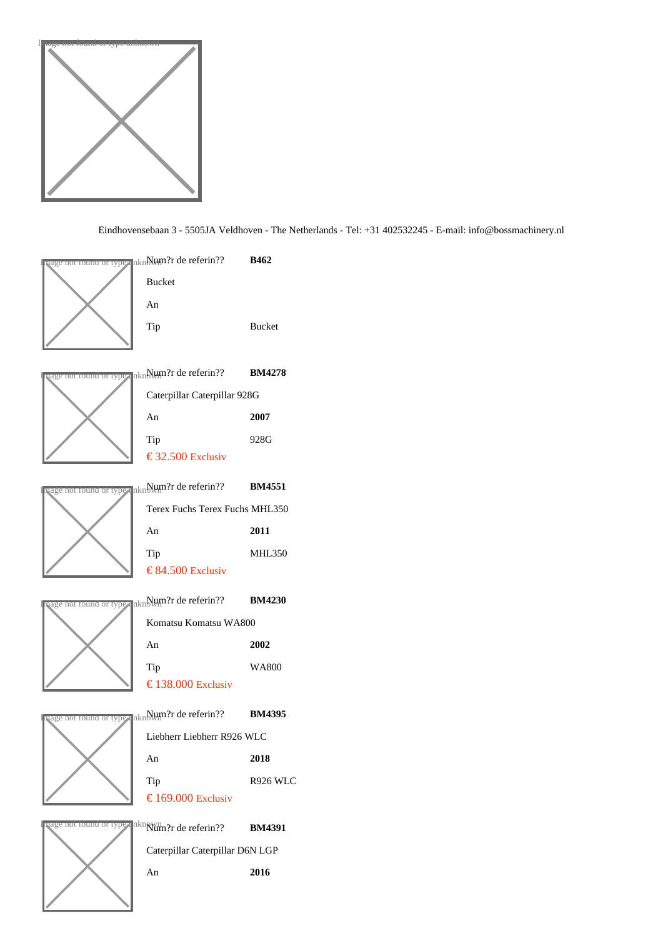

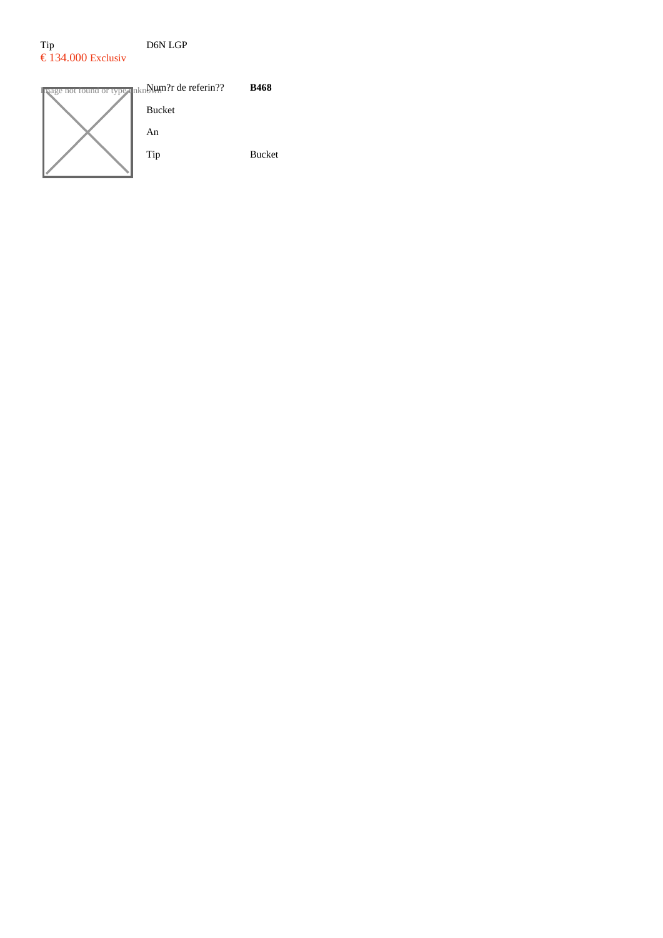# Tip D6N LGP  $\epsilon$  134.000 Exclusiv

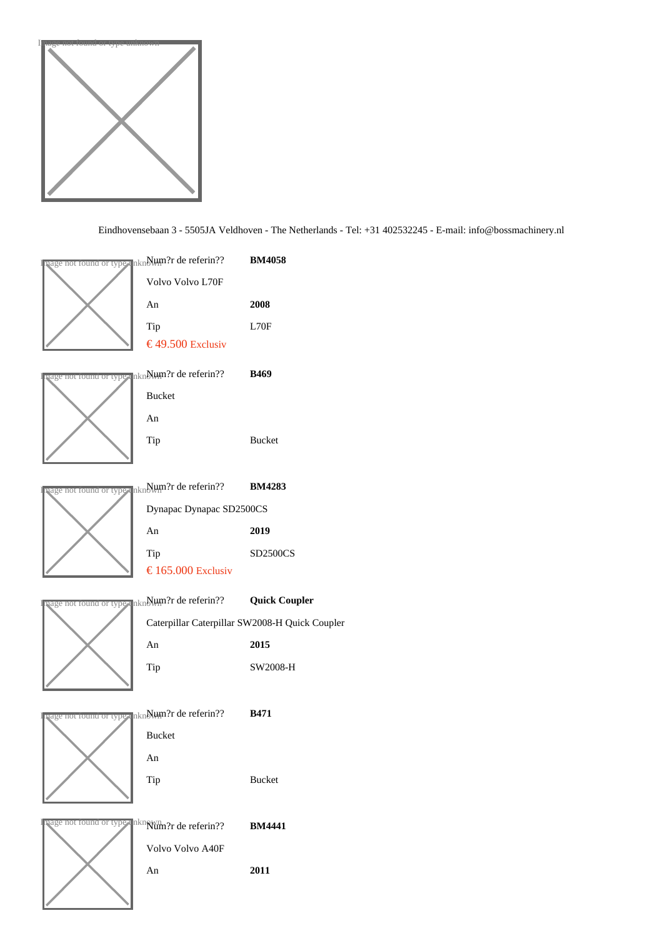

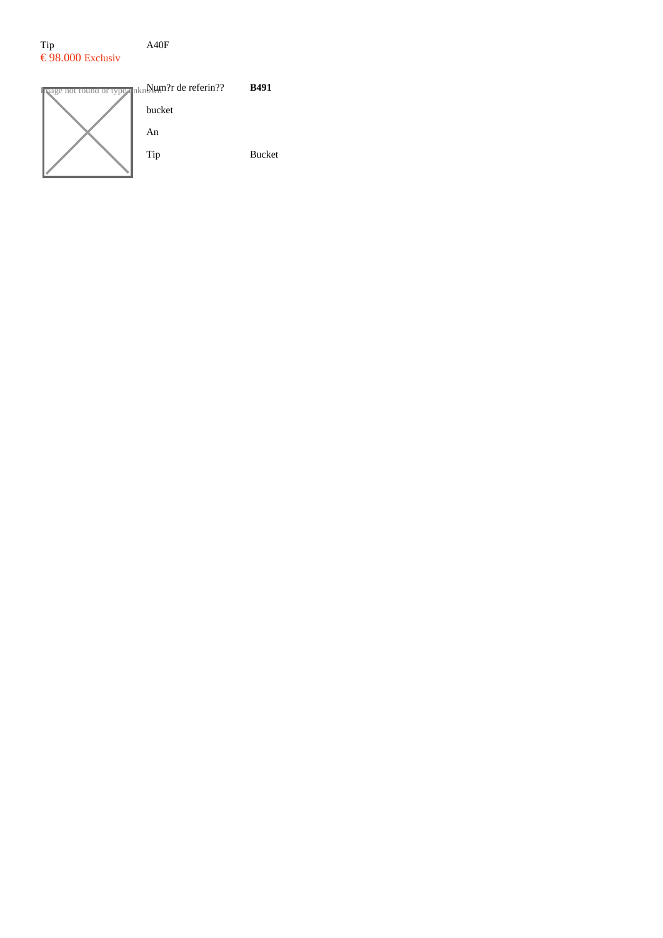## Tip A40F  $\epsilon$ 98.000 Exclusiv

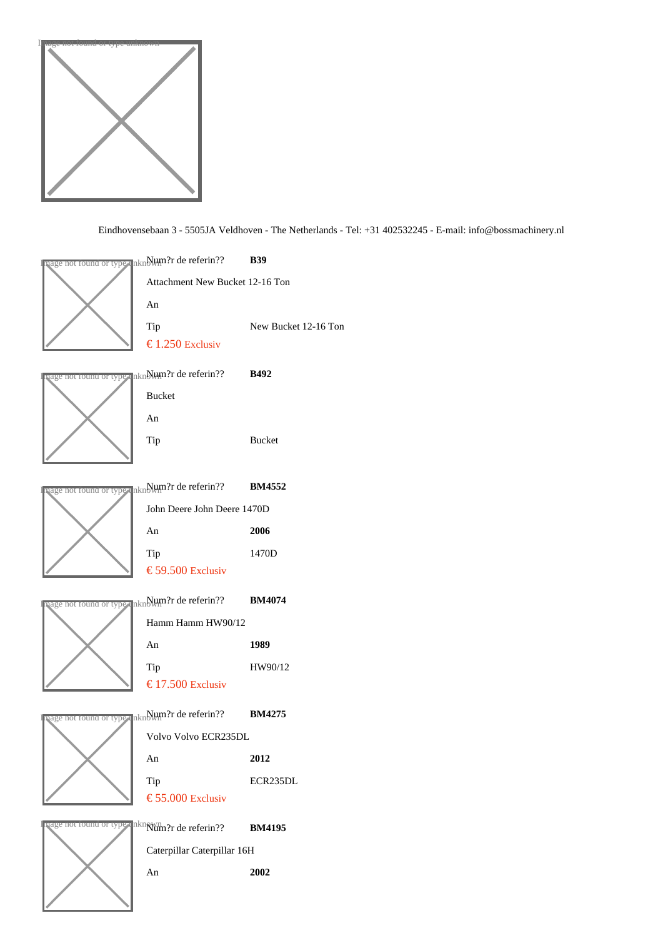

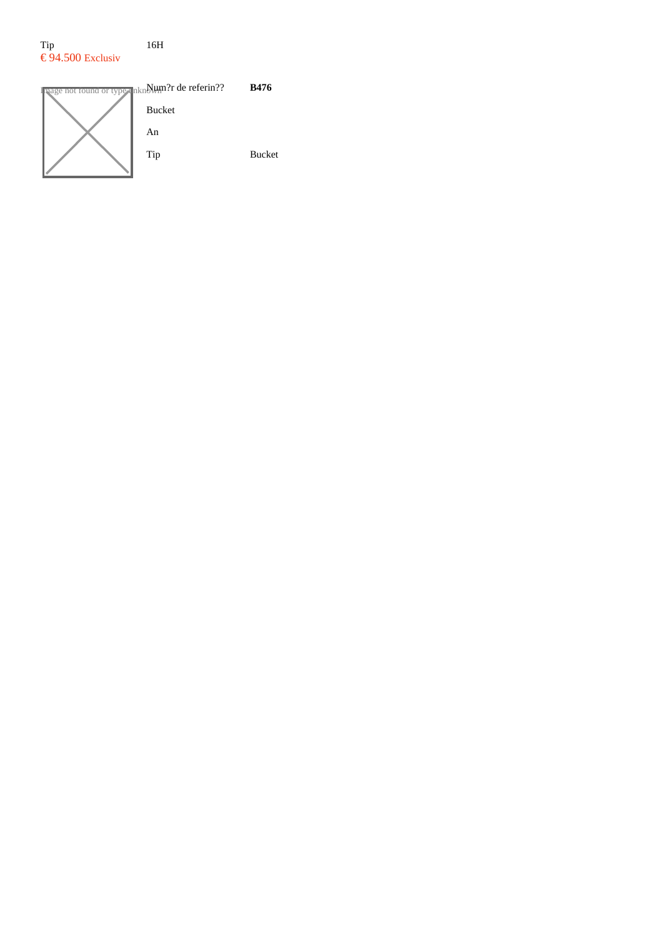#### Tip 16H  $\epsilon$ 94.500 Exclusiv

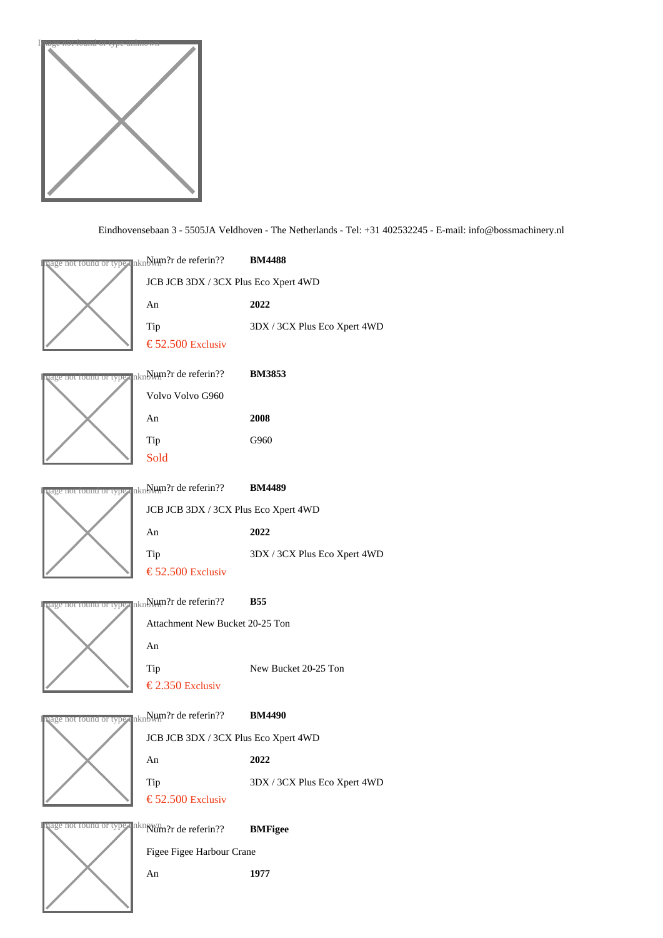

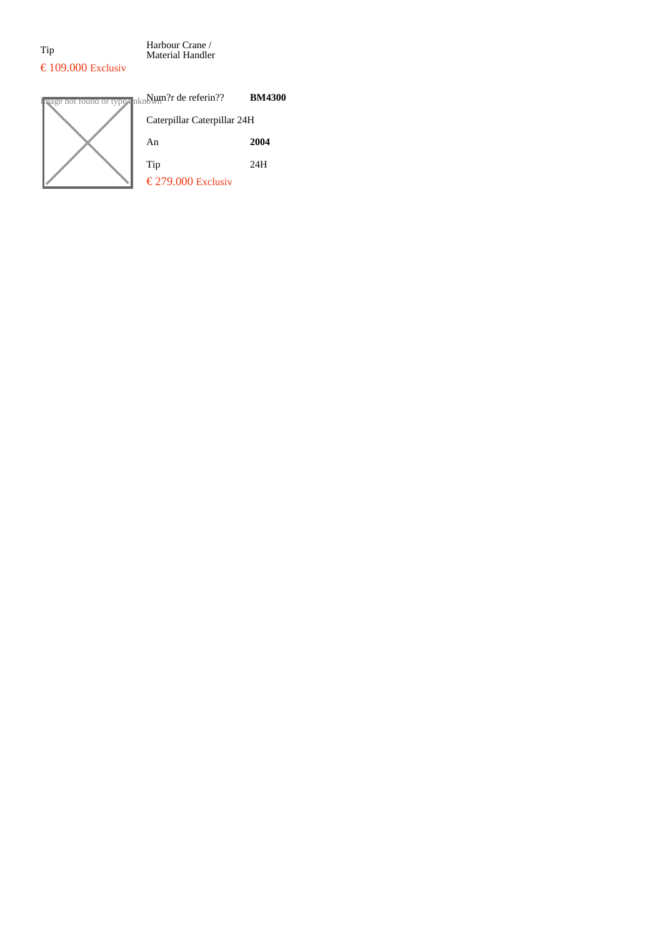Tip Harbour Crane / Material Handler

# $\text{\textsterling} 109.000$  Exclusiv

| age not found or type unknowm?r de referin?? | <b>BM4300</b> |
|----------------------------------------------|---------------|
| Caterpillar Caterpillar 24H                  |               |
| An                                           | 2004          |
| Tip                                          | 24H           |
| € 279.000Exclusiv                            |               |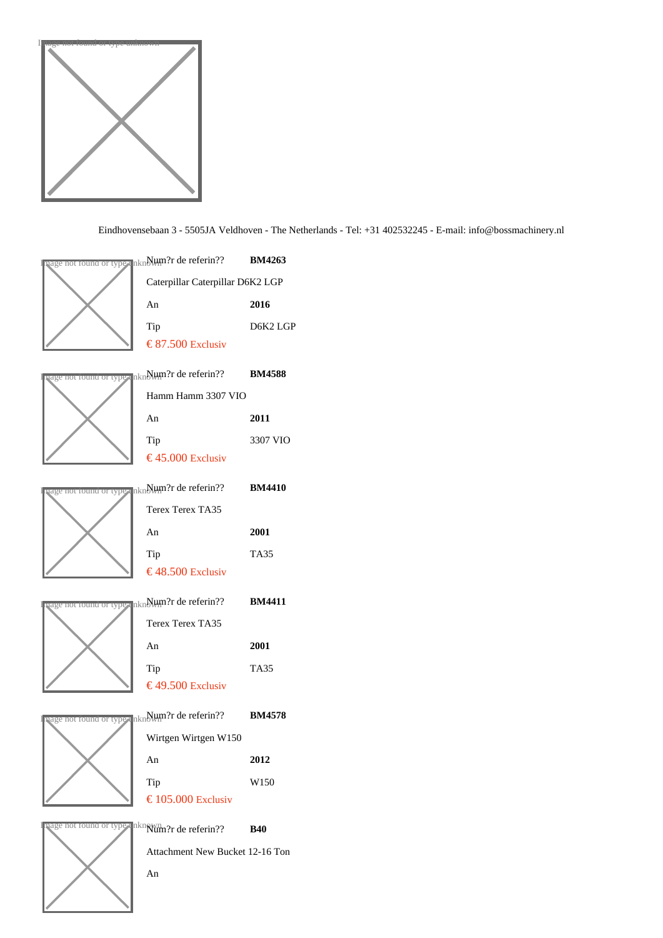



An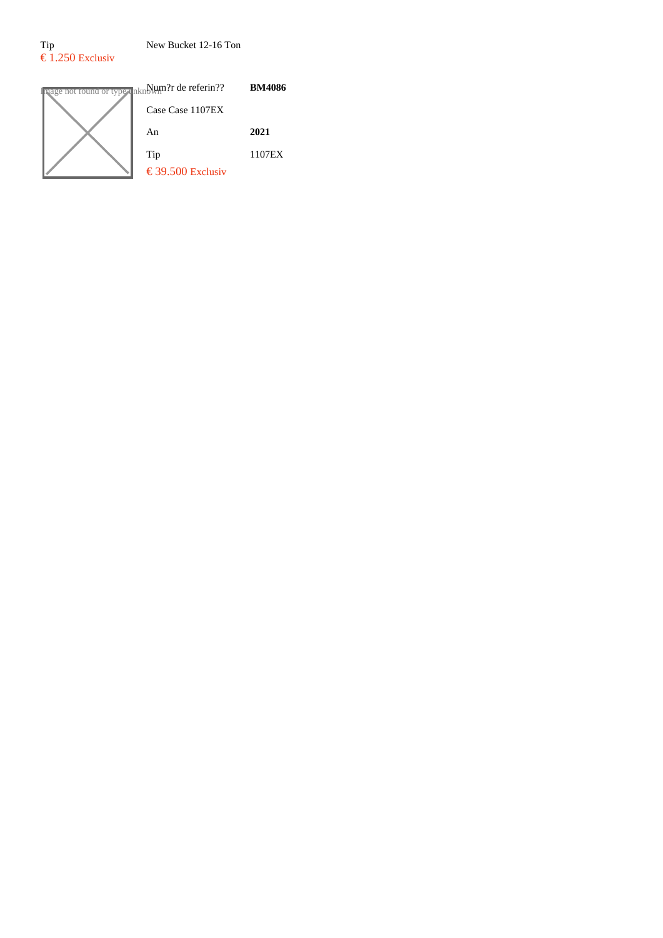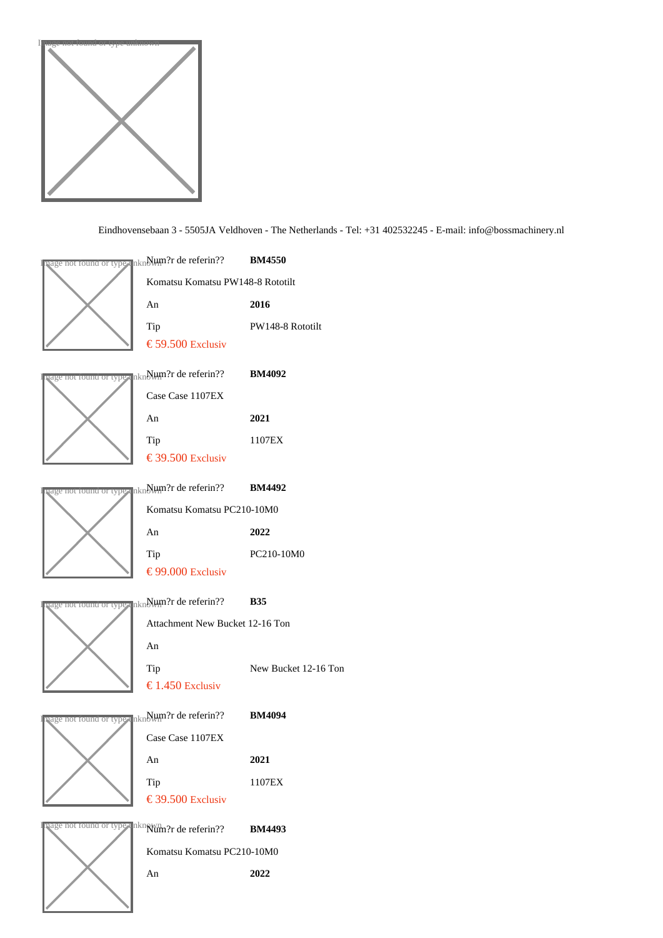

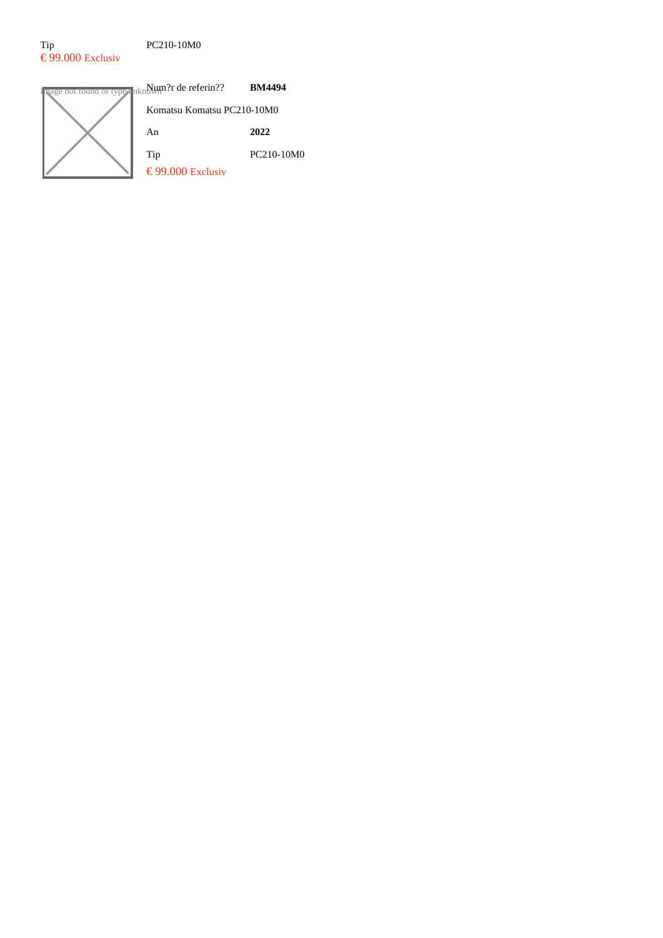#### Tip PC210-10M0  $\epsilon$ 99.000 Exclusiv

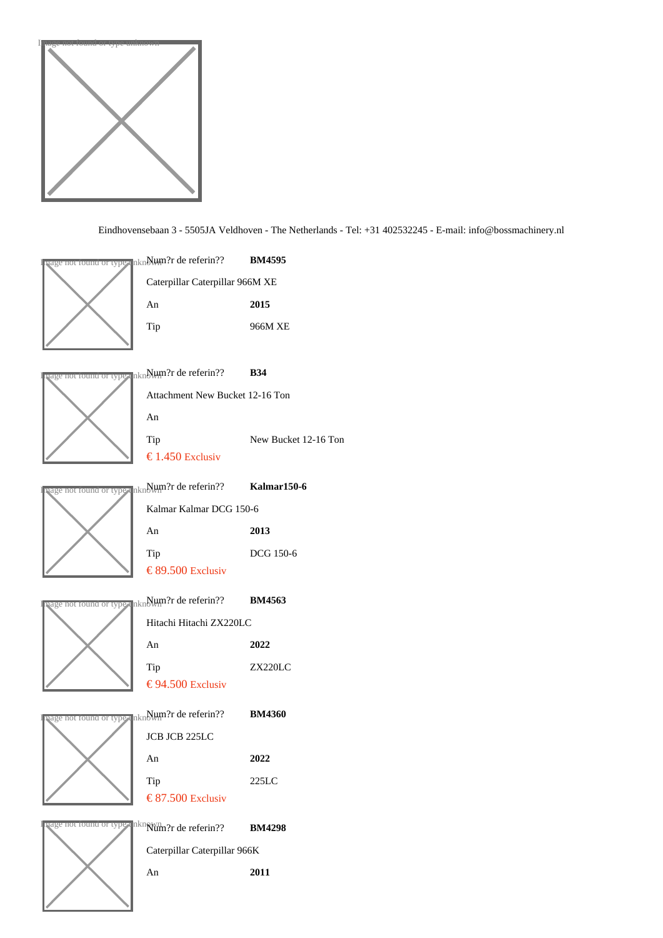





Attachment New Bucket 12-16 Ton An Tip New Bucket 12-16 Ton € 1.450 Exclusiv not round or type un∰um?r de referin?? Kalmar150-6 Kalmar Kalmar DCG 150-6 An 2013 Tip DCG 150-6 € 89.50 Exclusiv

Ige not found or type un $N$ Hum?r de referin?? BM4563

Hitachi Hitachi ZX220LC An 2022 Tip ZX220LC € 94.50 Exclusiv Ige not found or type un $N$ lum?r de referin?? BM4360 JCB JCB 225LC An 2022 Tip 225LC € 87.50 Exclusiv



Ige not found or type unknum?r de referin?? BM4298 Caterpillar Caterpillar 966K An 2011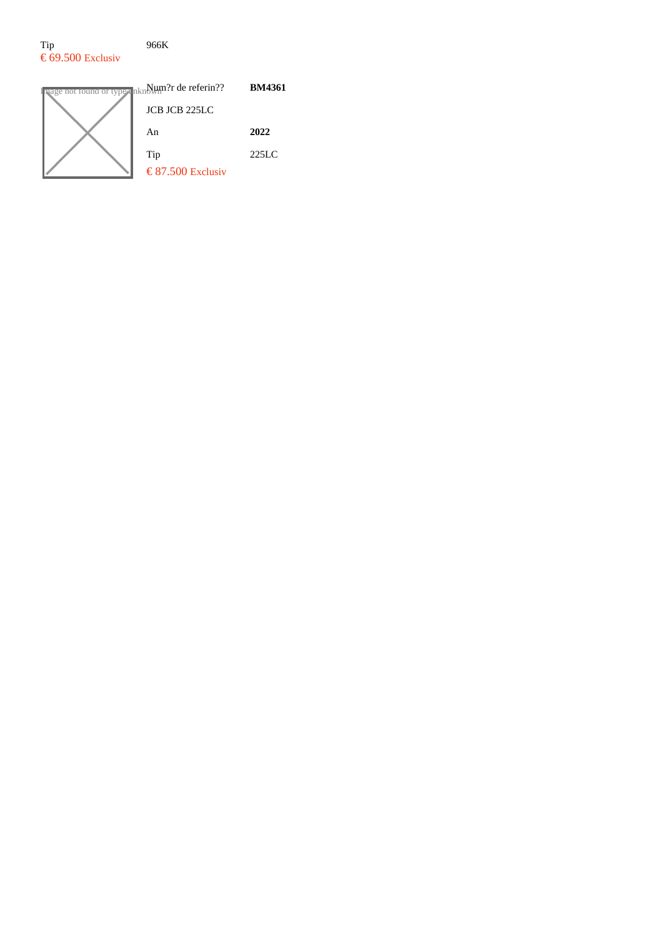#### Tip 966K  $\epsilon$  69.500 Exclusiv

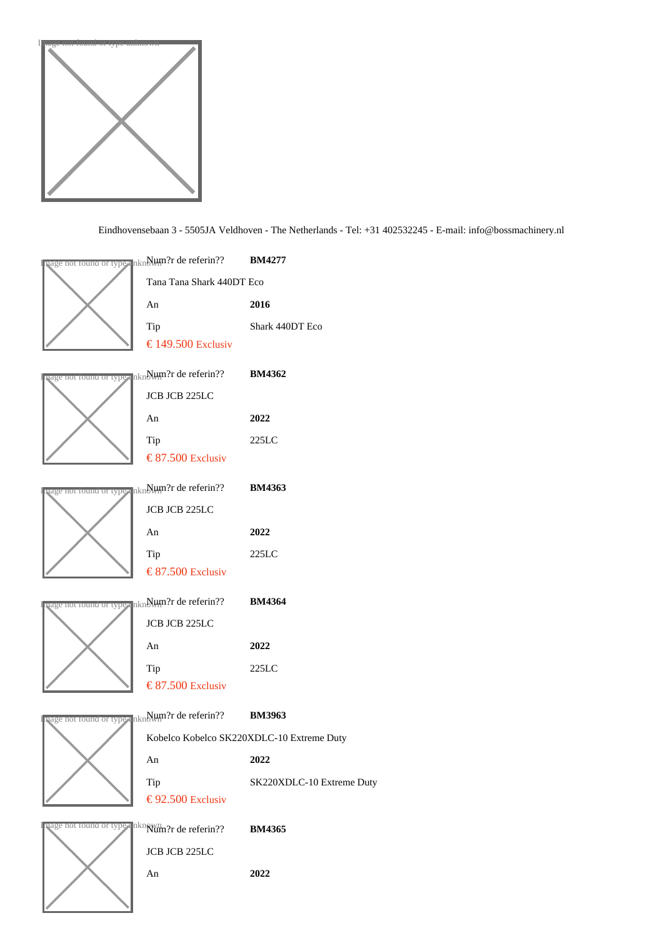

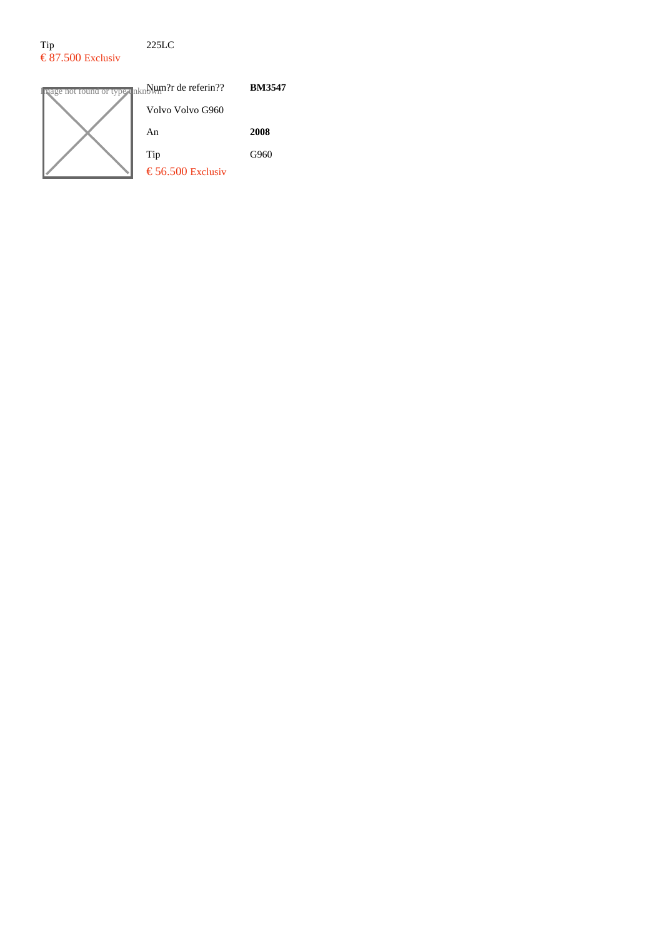## Tip 225LC  $\epsilon$  87.500 Exclusiv

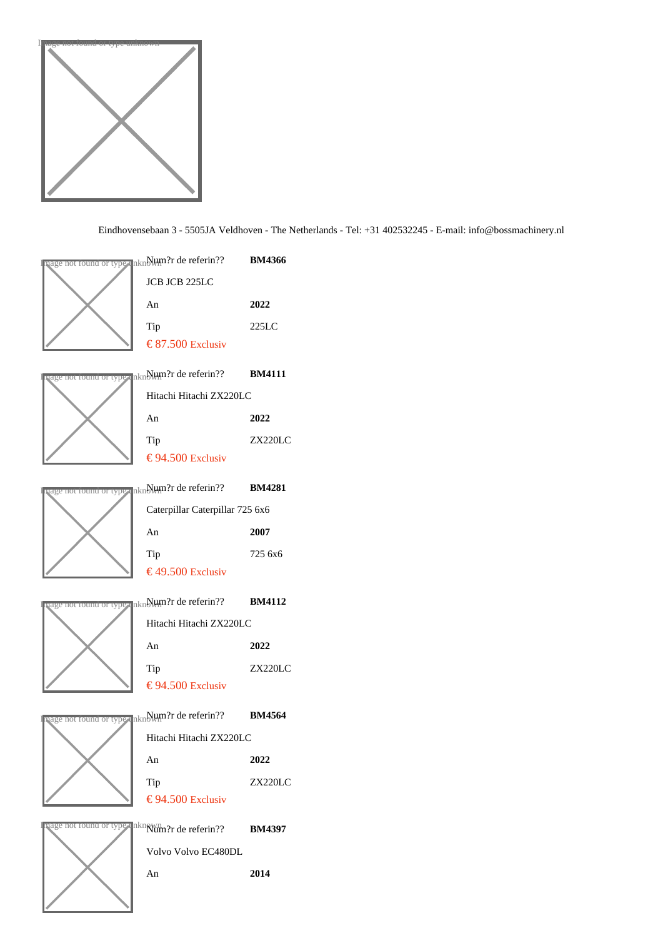

| aage not found or type unNHM?r de referin??                                    | <b>BM4366</b>  |
|--------------------------------------------------------------------------------|----------------|
| JCB JCB 225LC                                                                  |                |
| An                                                                             | 2022           |
| Tip                                                                            | 225LC          |
| € 87.50 Exclusiv                                                               |                |
| <sub>l</sub> age <del>nor round or type</del> unNHm?r de referin??  BM4111     |                |
| Hitachi Hitachi ZX220LC                                                        |                |
| An                                                                             | 2022           |
| Tip                                                                            | <b>ZX220LC</b> |
| € 94.50 Exclusiv                                                               |                |
| <sub>l</sub> age nor round or typ⊪ unNl⊎m?r de referin??  BM4281               |                |
| Caterpillar Caterpillar 725 6x6                                                |                |
| An                                                                             | 2007           |
| Tip                                                                            | 725 6x6        |
| €49.50 Exclusiv                                                                |                |
|                                                                                |                |
|                                                                                |                |
| rage nor round or type unN⊎m?r de referin??  BM4112<br>Hitachi Hitachi ZX220LC |                |
| An                                                                             | 2022           |
| Tip                                                                            | ZX220LC        |
| € 94.50 Exclusiv                                                               |                |
| <mark>age not found or type</mark> unे Hum?r de referin??       BM4564         |                |
| Hitachi Hitachi ZX220LC                                                        |                |
| An                                                                             | 2022           |
| Tip                                                                            | ZX220LC        |
| € 94.50 Exclusiv                                                               |                |
| aage nor round or ty⊘⊪ un <mark>klûm?r de referin??  BM4397</mark>             |                |
| Volvo Volvo EC480DL                                                            |                |
| An                                                                             | 2014           |
|                                                                                |                |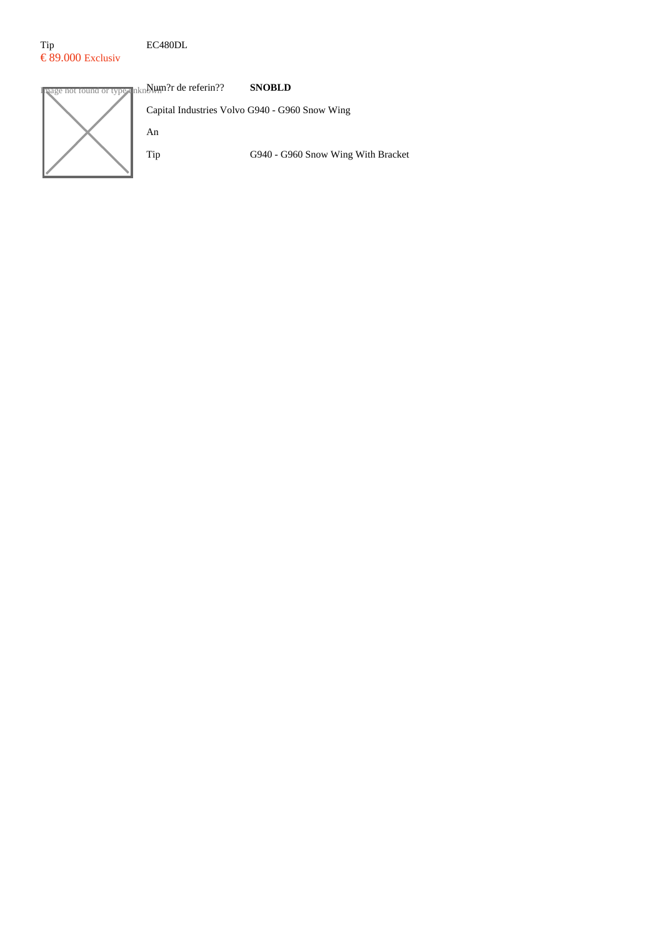#### Tip EC480DL  $\epsilon$  89.000 Exclusiv

**Indee not found or type unknown?r de referin?? SNOBLD** Capital Industries Volvo G940 - G960 Snow Wing An Tip G940 - G960 Snow Wing With Bracket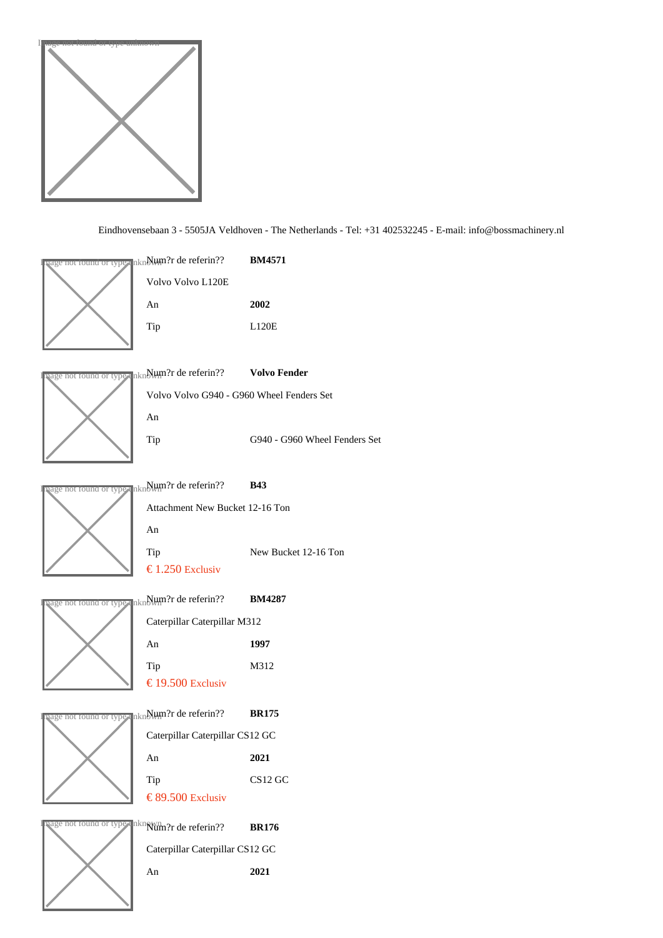

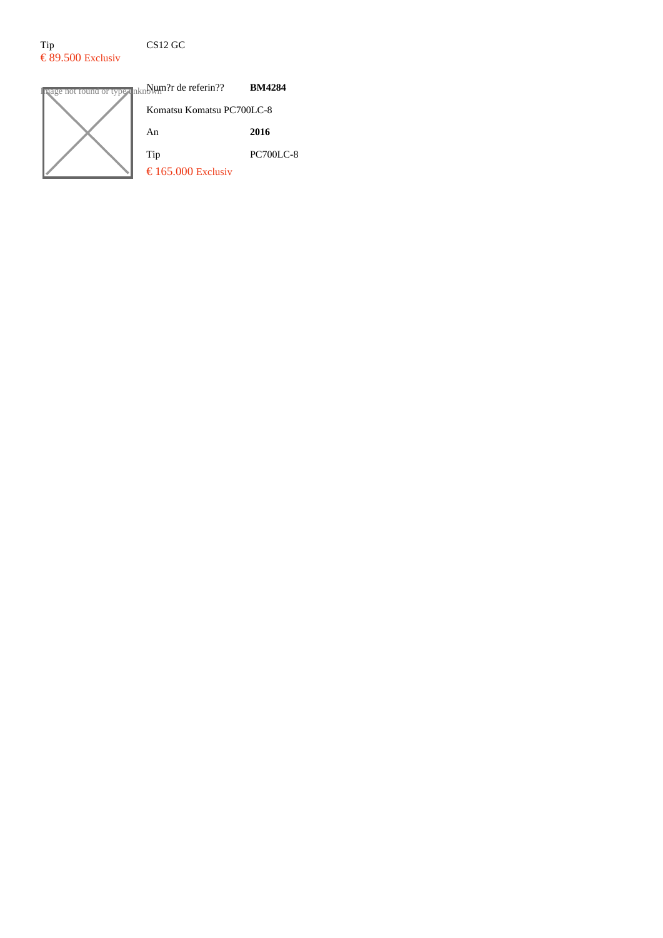## Tip CS12 GC  $\epsilon$  89.500 Exclusiv

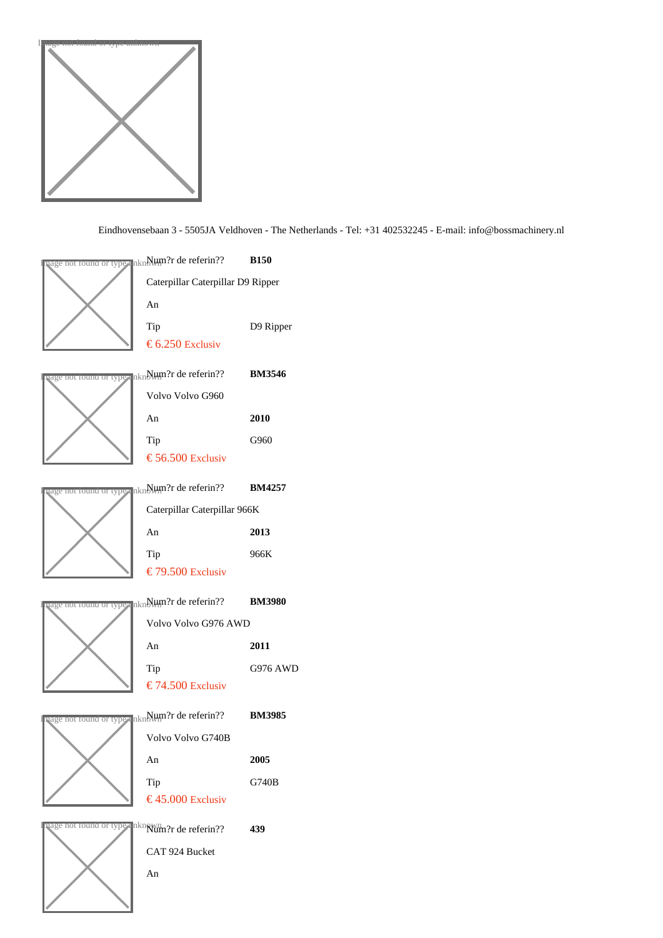

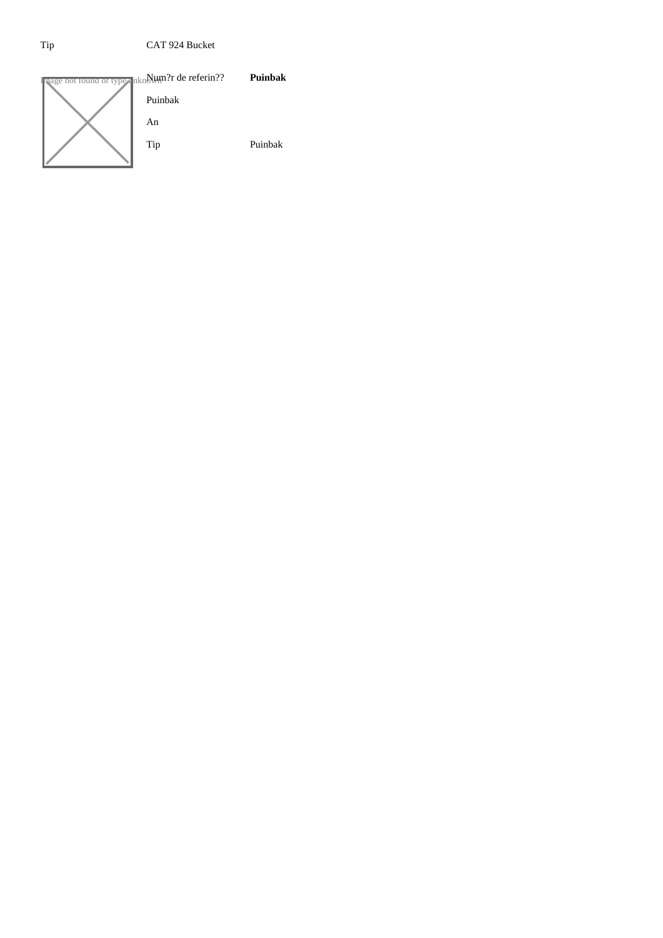### Tip CAT 924 Bucket

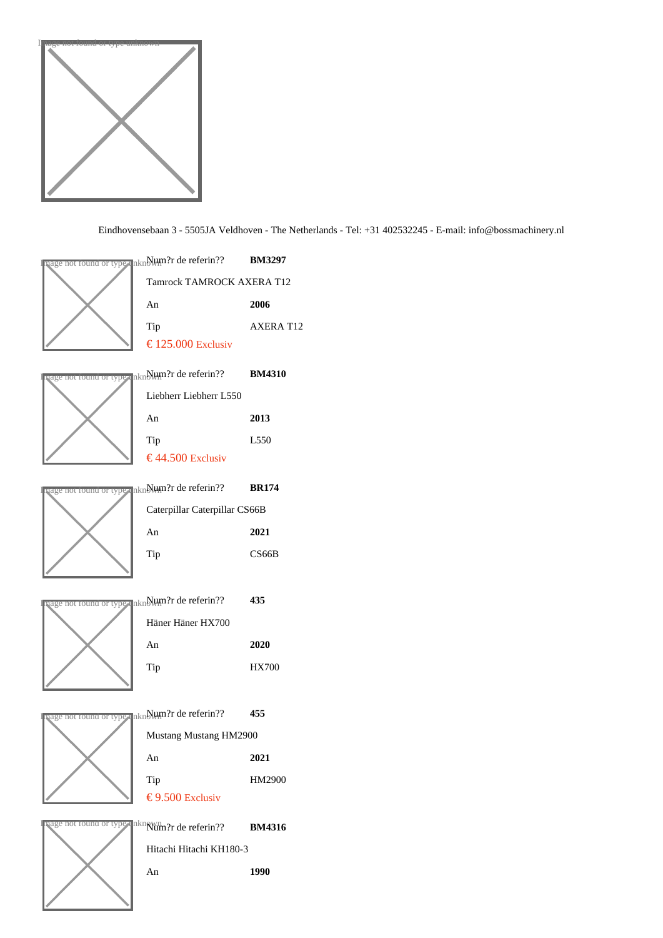



Hitachi Hitachi KH180-3 An 1990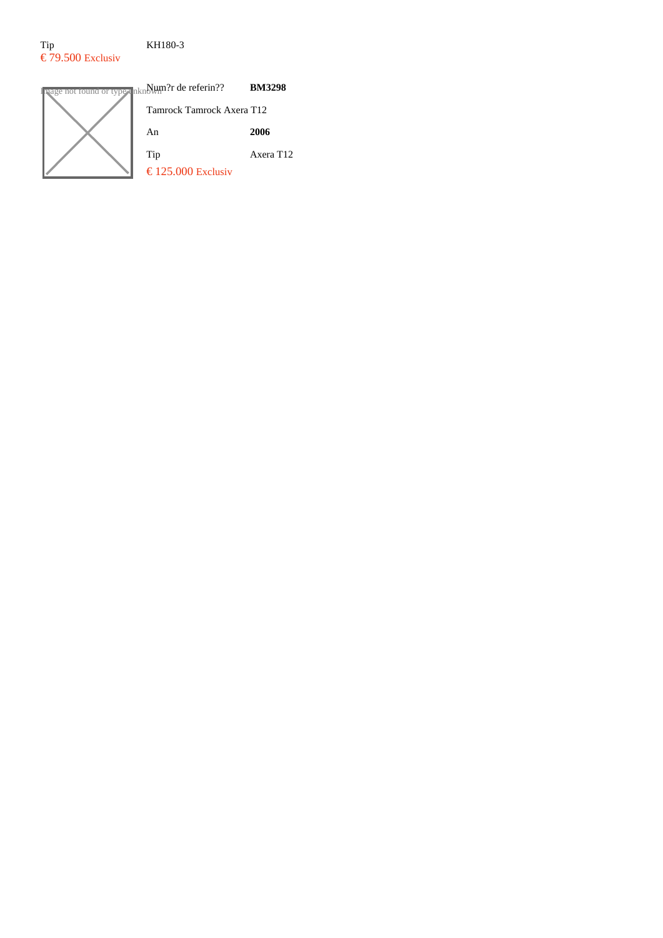## Tip KH180-3  $\epsilon$  79.500 Exclusiv

**Image not found or type unknown?r de referin?? BM3298** Tamrock Tamrock Axera T12 An **2006** Tip Axera T12 € 125.000 Exclusiv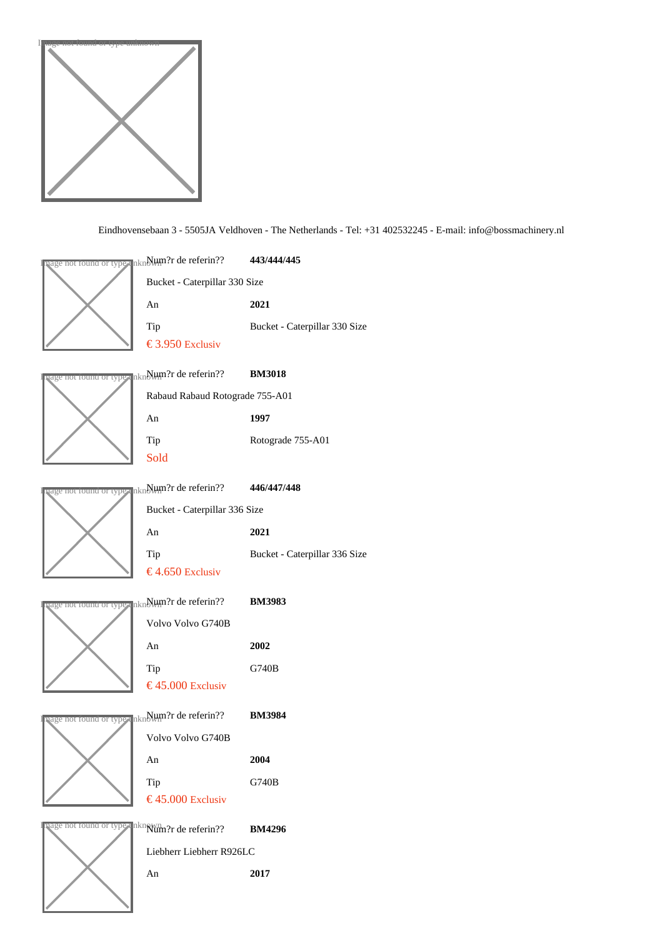

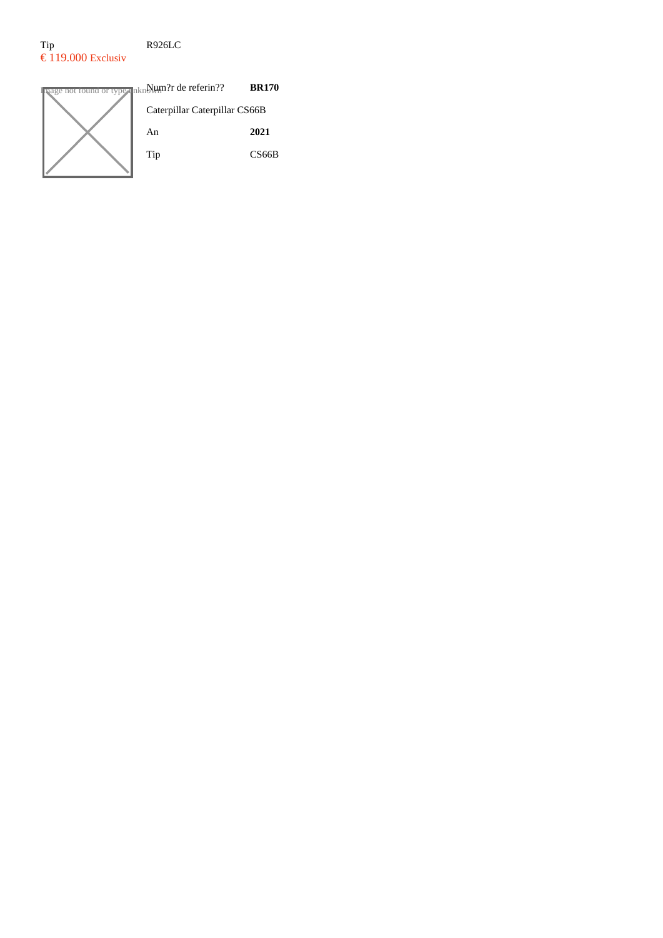# Tip R926LC  $\epsilon$  119.000 Exclusiv

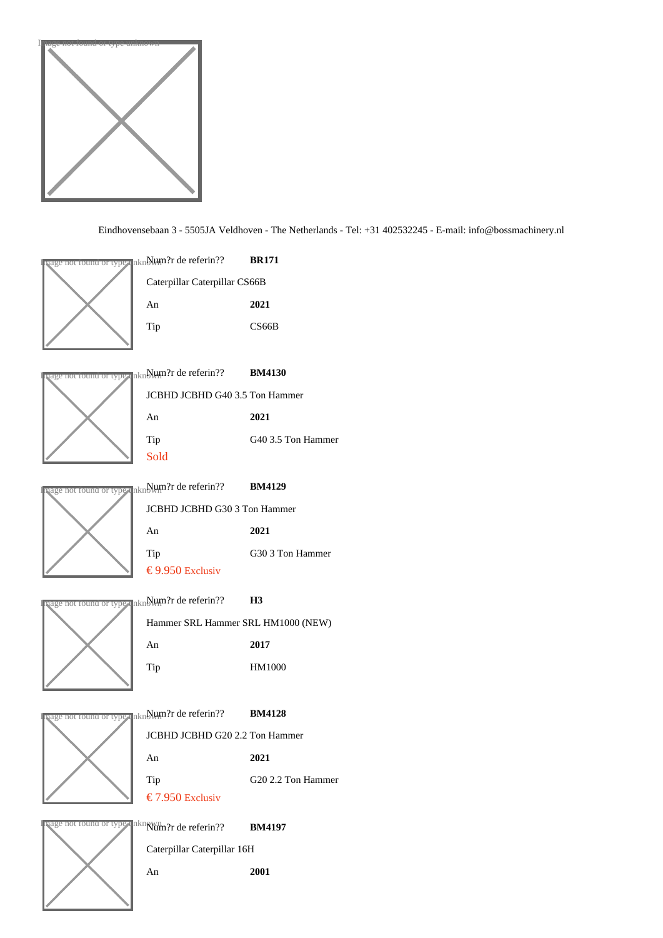





<sup>Ige not found or type</sup> un Num?r de referin?? BM4130 JCBHD JCBHD G40 3.5 Ton Hammer An 2021 Tip G40 3.5 Ton Hammer Sold



no<del>r round or type</del> unे∰t∰ी de referin?? BM4129 JCBHD JCBHD G30 3 Ton Hammer An 2021 Tip G30 3 Ton Hammer  $€ 9.950$ Exclusiv



not found or type unNum?r de referin?? H3 Hammer SRL Hammer SRL HM1000 (NEW) An 2017 Tip HM1000



JCBHD JCBHD G20 2.2 Ton Hammer An 2021 Tip G20 2.2 Ton Hammer € 7.950 Exclusiv



Caterpillar Caterpillar 16H An 2001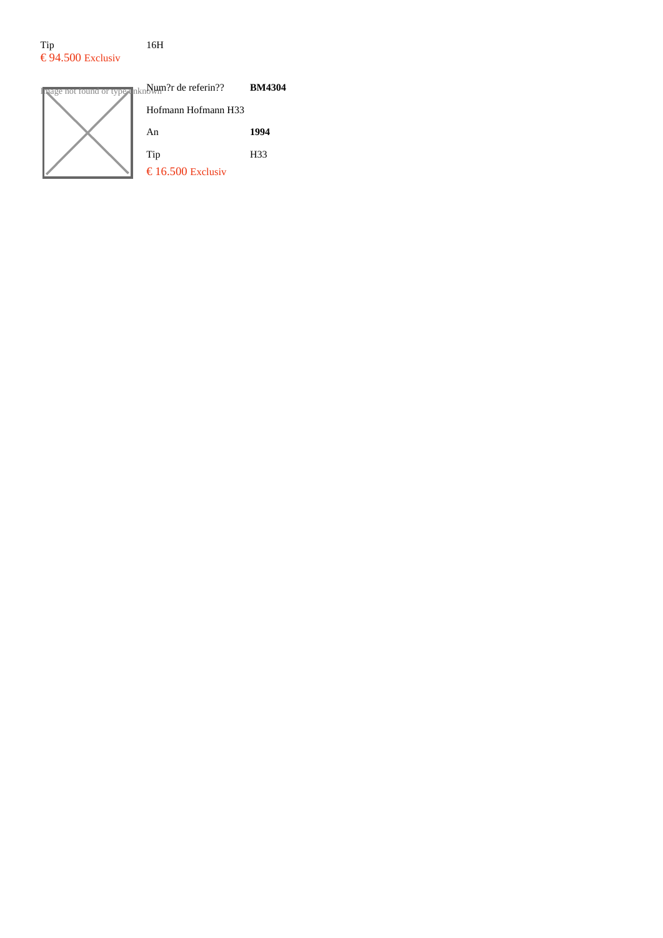#### Tip 16H  $\epsilon$ 94.500 Exclusiv



**Image not found or type unknown?r de referin?? BM4304** Hofmann Hofmann H33 An **1994** Tip H33  $\text{\textsterling} 16.500$  Exclusiv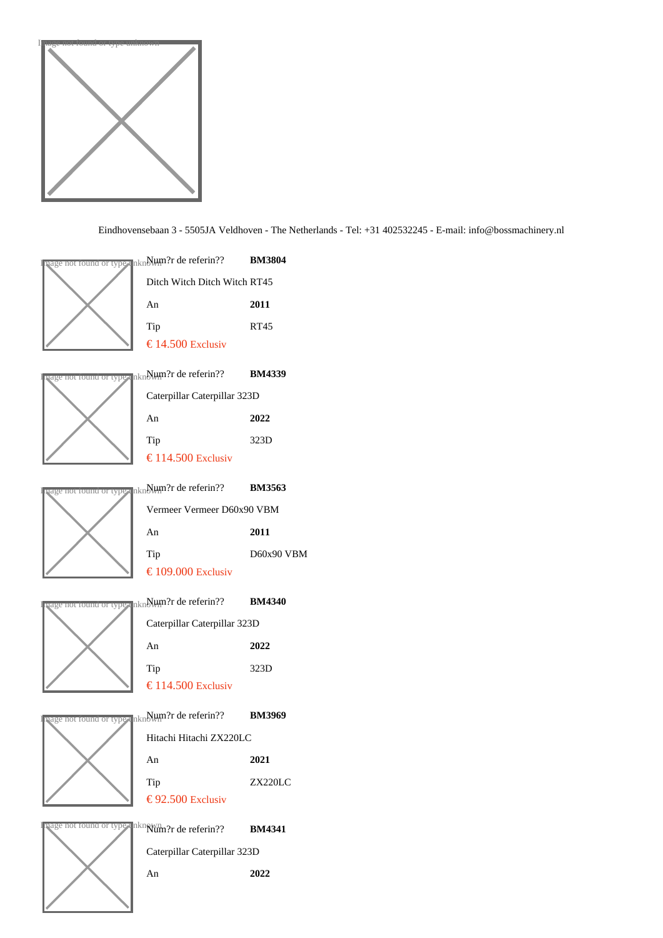

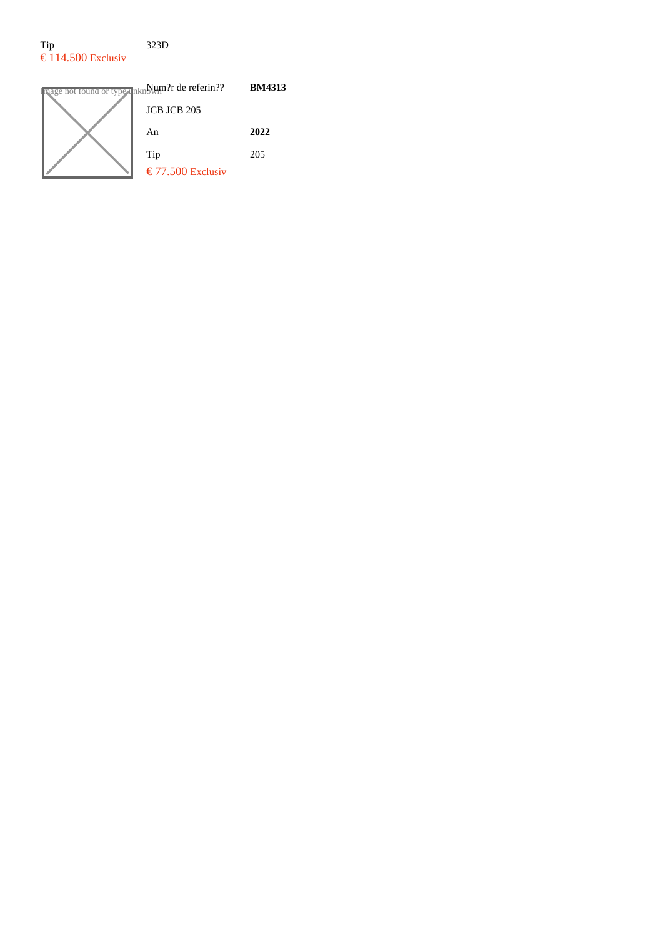## Tip 323D  $\epsilon$  114.500 Exclusiv

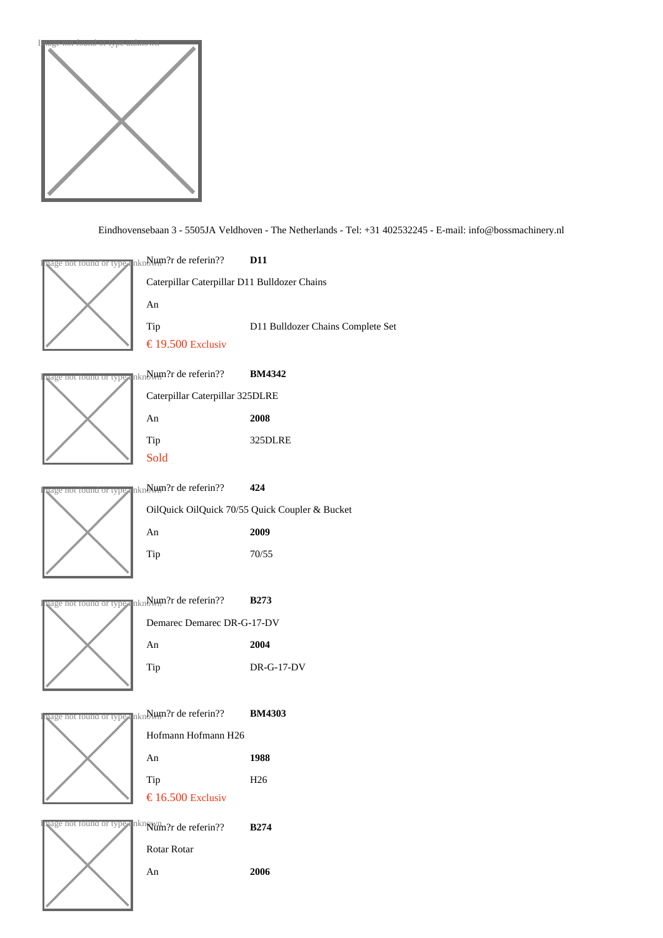



An 2006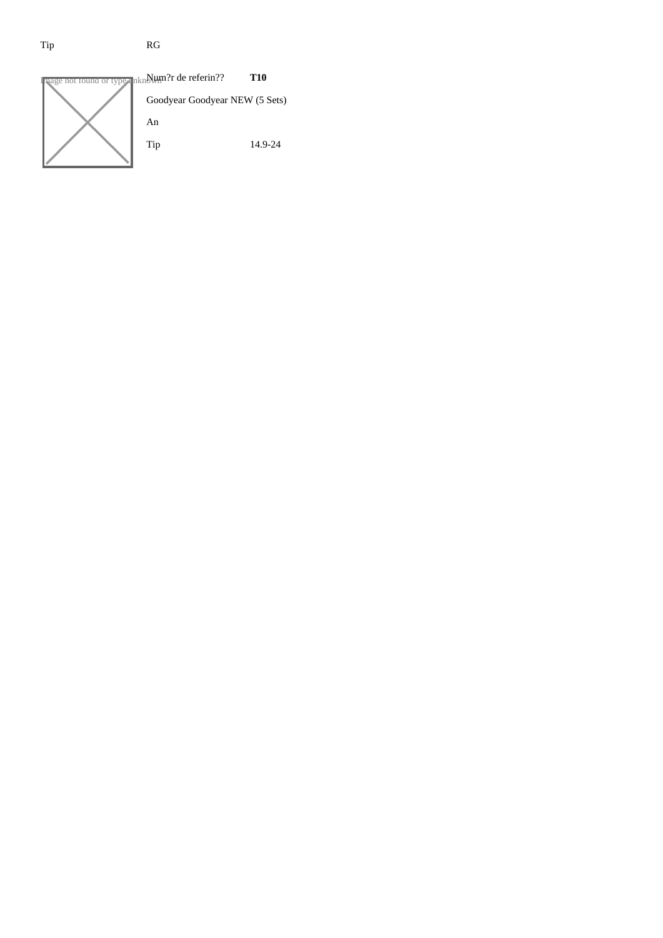# Tip RG

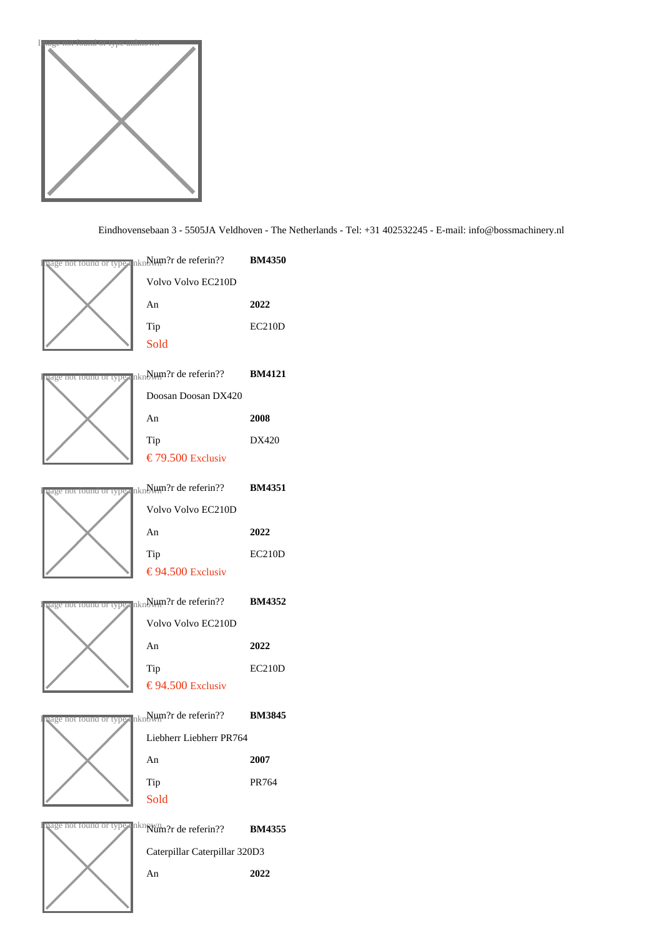

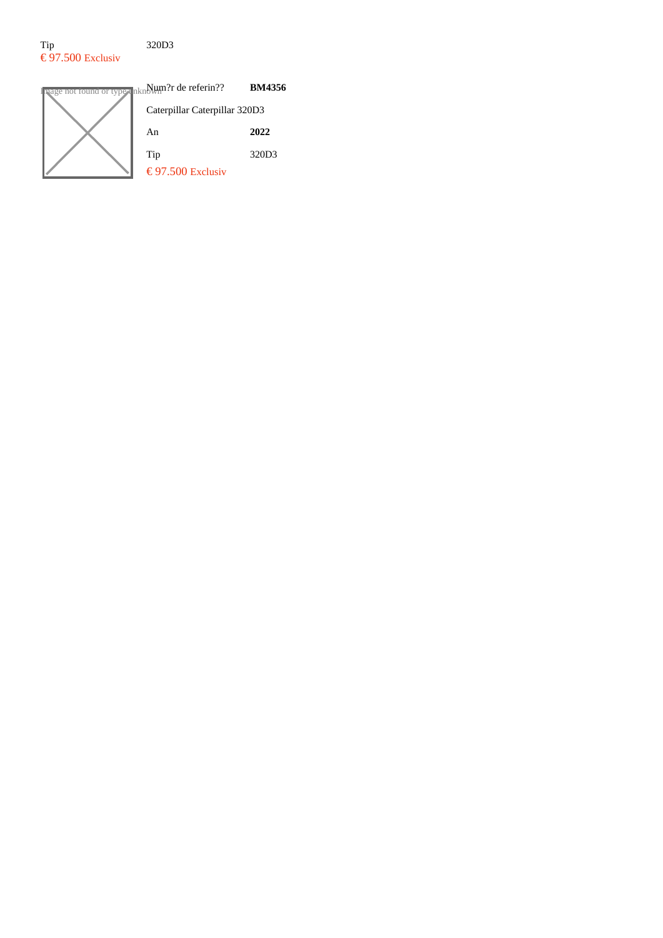## Tip 320D3  $\epsilon$ 97.500 Exclusiv

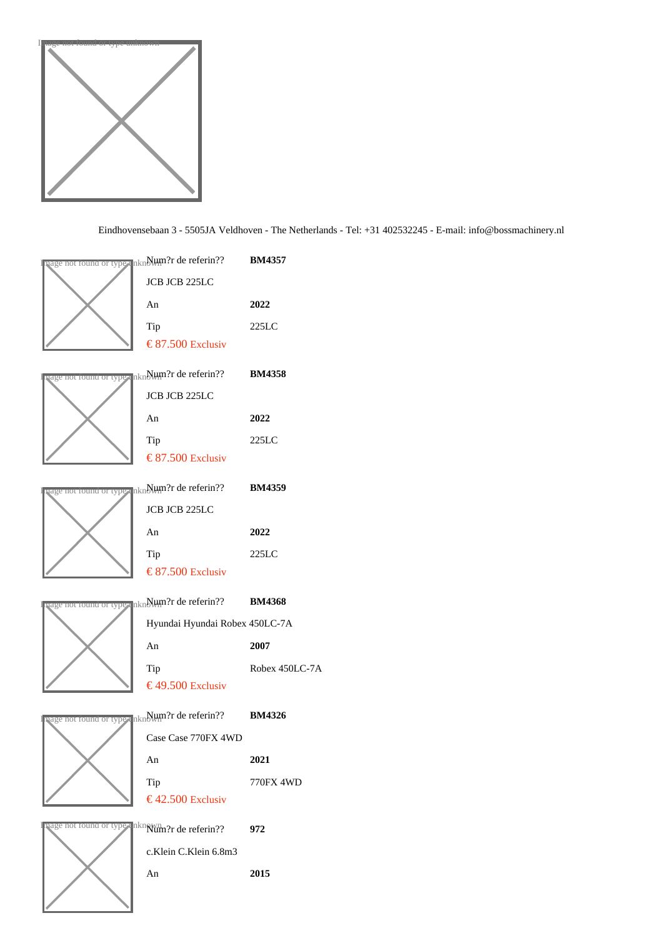

| <mark>बवge nor round or tyo</mark> ≢ unे∰00 प्रेरि de referin??       BM4357 |                |
|------------------------------------------------------------------------------|----------------|
| JCB JCB 225LC                                                                |                |
| An                                                                           | 2022           |
| Tip                                                                          | 225LC          |
| € 87.50 Exclusiv                                                             |                |
| <mark>ष्age nor round or tyo</mark> r unNlum?r de referin??       BM4358     |                |
| JCB JCB 225LC                                                                |                |
| An                                                                           | 2022           |
| Tip                                                                          | 225LC          |
| € 87.50 Exclusiv                                                             |                |
| age nor round or type unN⊎m?r de referin?? BM4359                            |                |
| JCB JCB 225LC                                                                |                |
| An                                                                           | 2022           |
| Tip                                                                          | 225LC          |
| € 87.50 Exclusiv                                                             |                |
| <mark>ष्ट्युe nor round or tyo</mark> r unNlum?r de referin??       BM4368   |                |
| Hyundai Hyundai Robex 450LC-7A                                               |                |
| An                                                                           | 2007           |
| Tip                                                                          | Robex 450LC-7A |
| €49.50 Exclusiv                                                              |                |
| <mark>्वge nor round or tyo</mark> ≢ unे. Hum?r de referin??       BM4326    |                |
| Case Case 770FX 4WD                                                          |                |
| An                                                                           | 2021           |
| Tip                                                                          | 770FX 4WD      |
| €42.50 Exclusiv                                                              |                |
| nage nor round or type unknum?r de referin??                                 | 972            |
| c.Klein C.Klein 6.8m3                                                        |                |
| An                                                                           | 2015           |
|                                                                              |                |
|                                                                              |                |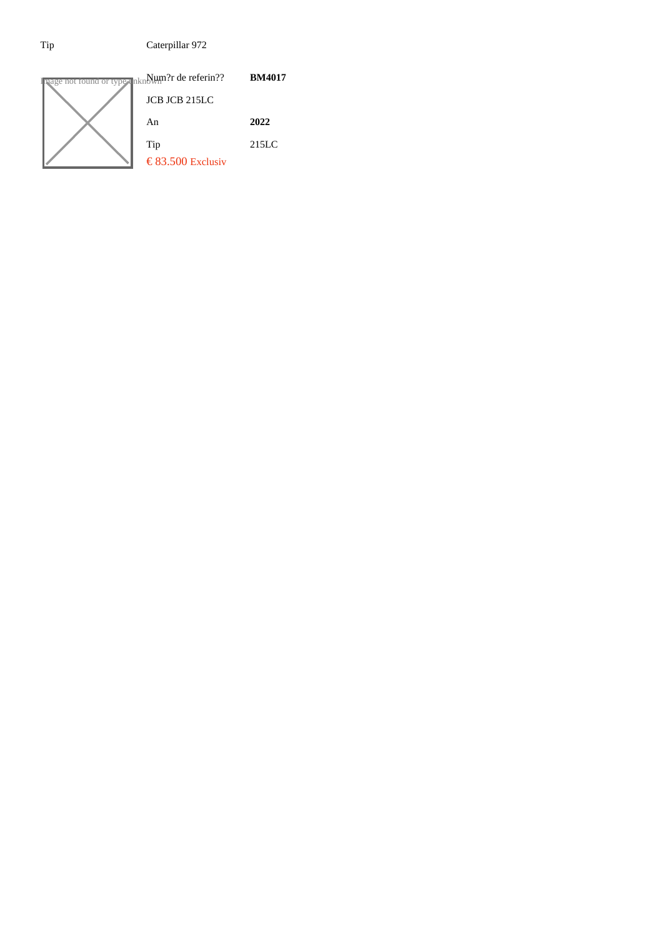Tip Caterpillar 972

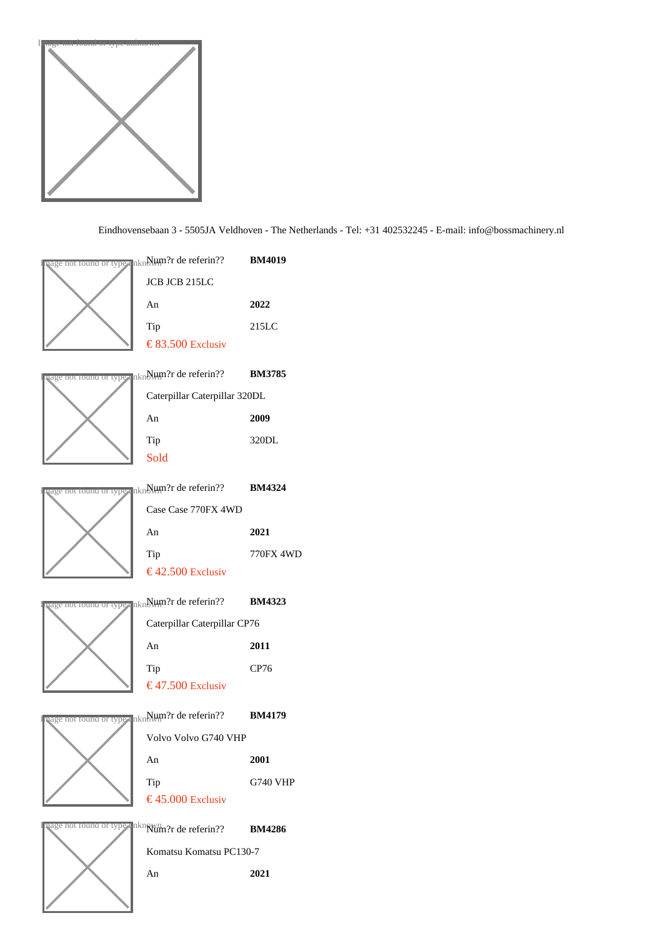

|                                                   | uage nor round or typ⊪ unNµm?r de referin??  BM4019                            |                 |
|---------------------------------------------------|--------------------------------------------------------------------------------|-----------------|
|                                                   | JCB JCB 215LC                                                                  |                 |
|                                                   | An                                                                             | 2022            |
|                                                   | Tip                                                                            | 215LC           |
|                                                   | € 83.50 Exclusiv                                                               |                 |
|                                                   | <mark>बवge nor round or tyo</mark> r unNlum?r de referin??       BM3785        |                 |
|                                                   | Caterpillar Caterpillar 320DL                                                  |                 |
|                                                   | An                                                                             | 2009            |
|                                                   | Tip                                                                            | 320DL           |
|                                                   | Sold                                                                           |                 |
|                                                   | age not found or type unN⊎m?r de referin?? BM4324                              |                 |
|                                                   | Case Case 770FX 4WD                                                            |                 |
|                                                   | An                                                                             | 2021            |
|                                                   | Tip                                                                            | 770FX 4WD       |
|                                                   | €42.50 Exclusiv                                                                |                 |
|                                                   |                                                                                |                 |
| age nor round or type unN⊎m?r de referin?? BM4323 |                                                                                |                 |
|                                                   | Caterpillar Caterpillar CP76                                                   |                 |
|                                                   | An                                                                             | 2011            |
|                                                   | Tip                                                                            | <b>CP76</b>     |
|                                                   | €47.50 Exclusiv                                                                |                 |
|                                                   | <sub>lage not round or typ∎ unNlum?r de referin??  BM4179</sub>                |                 |
|                                                   | Volvo Volvo G740 VHP                                                           |                 |
|                                                   | An                                                                             | 2001            |
|                                                   | Tip                                                                            | <b>G740 VHP</b> |
|                                                   | €45.00 Exclusiv                                                                |                 |
|                                                   | qage nor <del>⊺ound or ty</del> or un <mark>klûm?r de referin??  BM4286</mark> |                 |
|                                                   | Komatsu Komatsu PC130-7                                                        |                 |
|                                                   | An                                                                             | 2021            |
|                                                   |                                                                                |                 |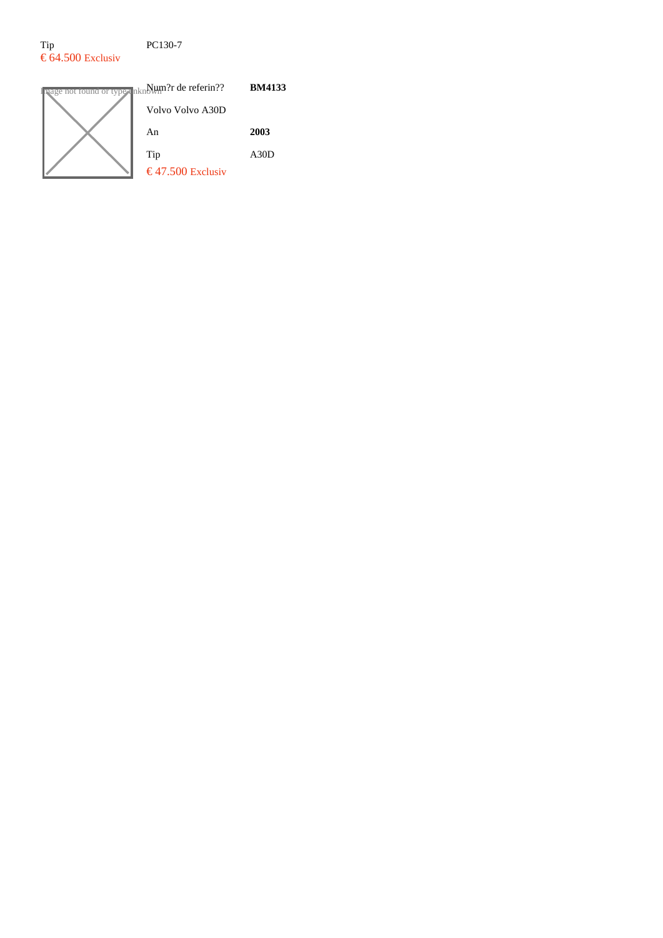### Tip PC130-7  $\epsilon$  64.500 Exclusiv

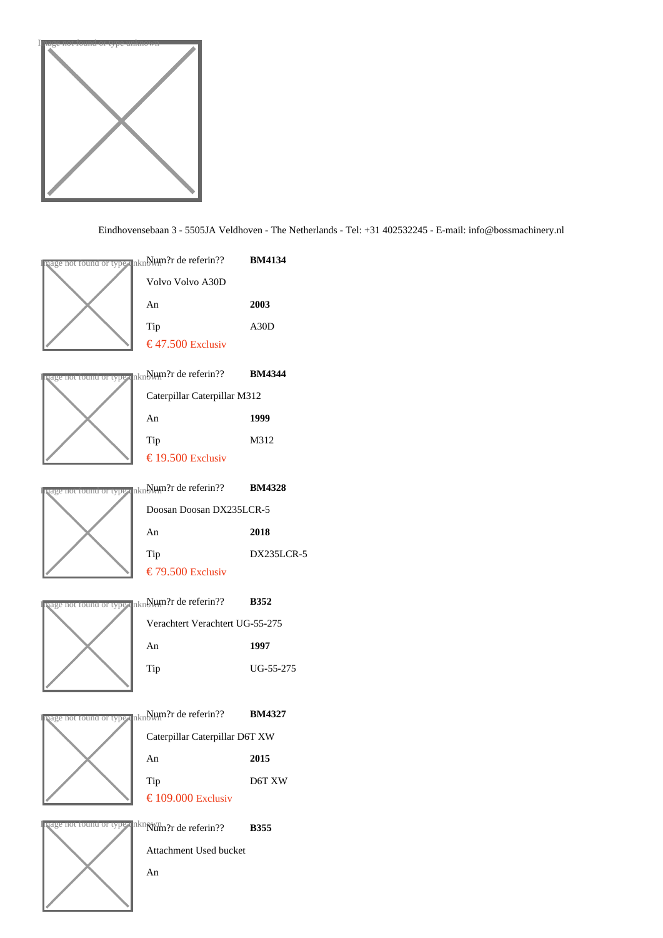





Attachment Used bucket

An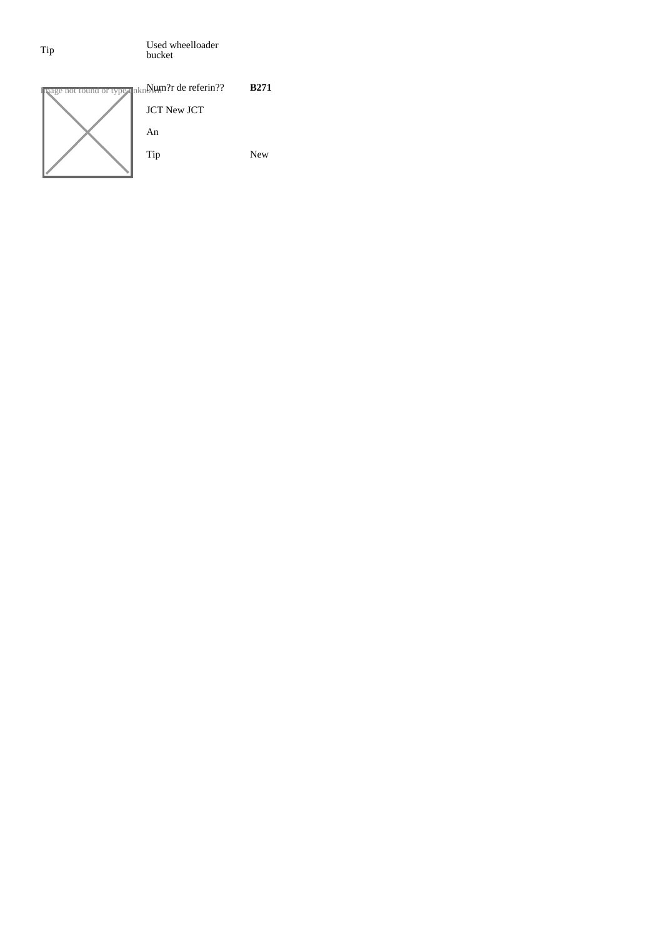Tip Used wheelloader bucket

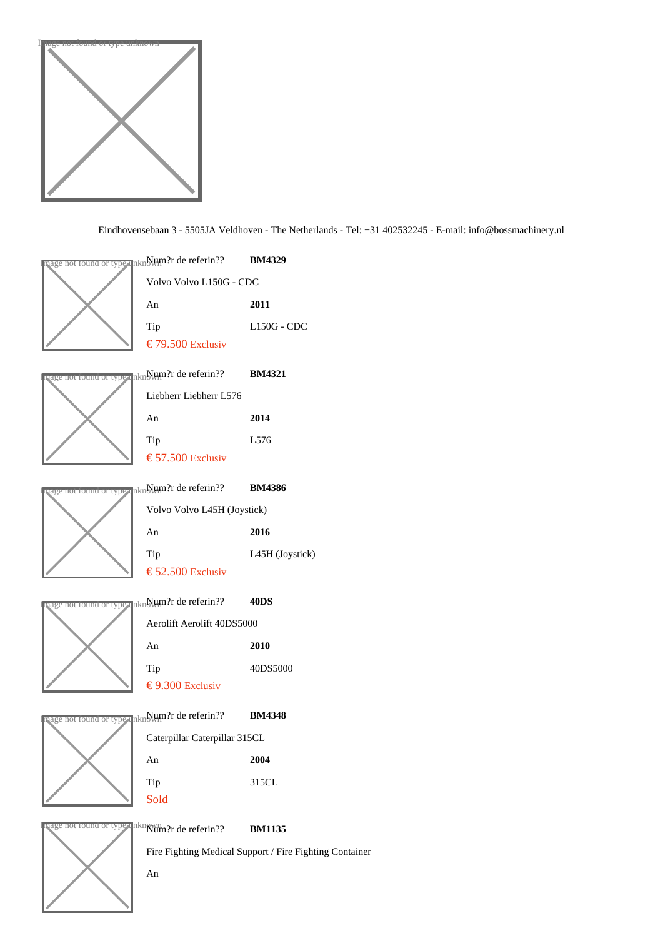





An

Fire Fighting Medical Support / Fire Fighting Container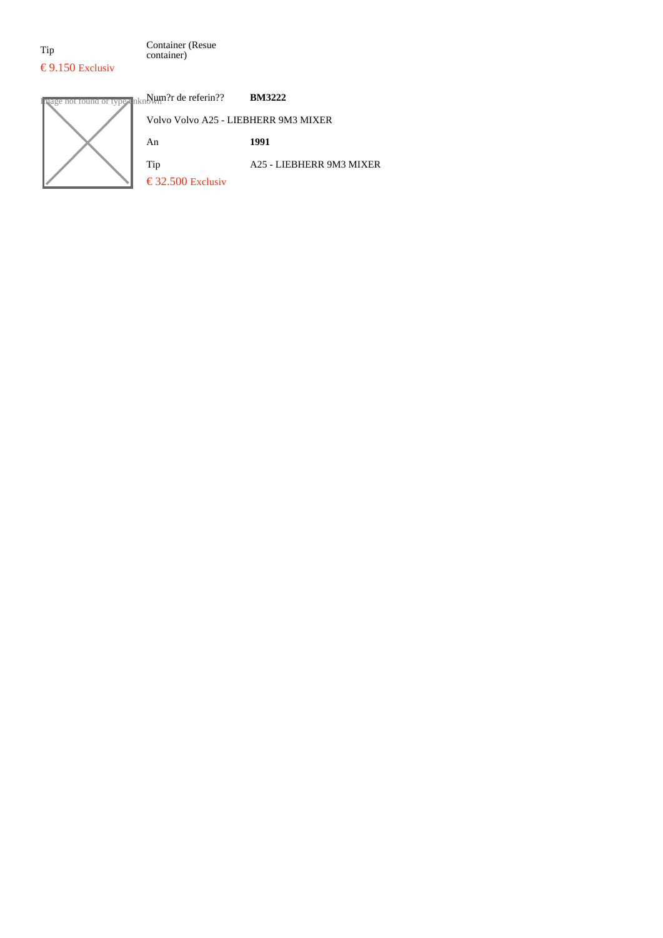Tip Container (Resue container)

# **Image not found or type unknown?r de referin?? BM3222**

| Volvo Volvo A25 - LIEBHERR 9M3 MIXER          |                          |
|-----------------------------------------------|--------------------------|
| An                                            | 1991                     |
| Tip<br>$\text{\textsterling}$ 32.500 Exclusiv | A25 - LIEBHERR 9M3 MIXER |
|                                               |                          |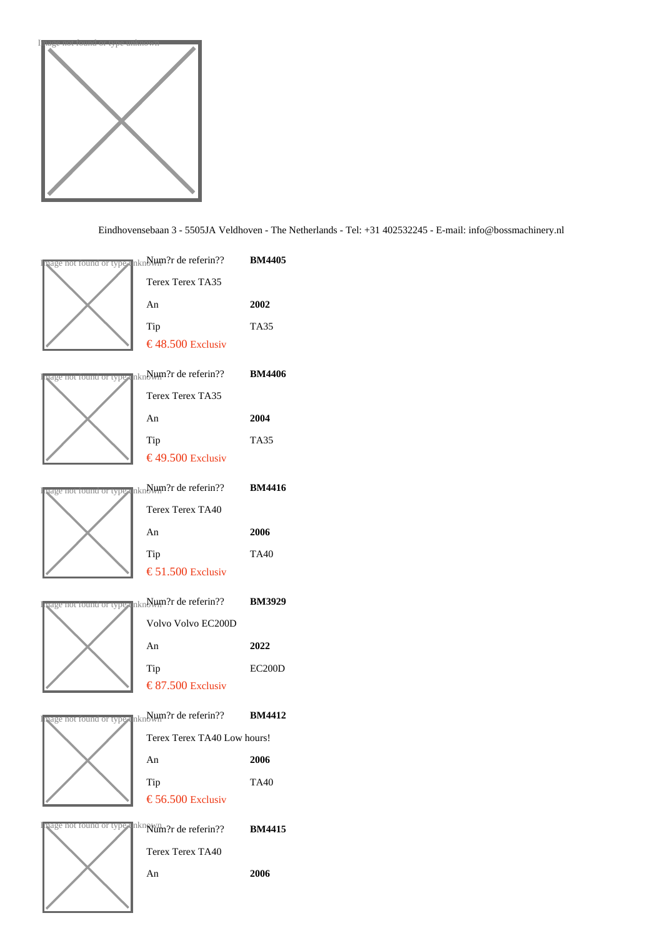

| <mark>षage nor round or type</mark> un∯lum?r de referin??       BM4405                                   |               |
|----------------------------------------------------------------------------------------------------------|---------------|
| <b>Terex Terex TA35</b>                                                                                  |               |
| An                                                                                                       | 2002          |
| Tip                                                                                                      | <b>TA35</b>   |
| €48.50 Exclusiv                                                                                          |               |
| षुage nor round or typ <sub>s</sub> un∯i m?r de referin??       BM4406                                   |               |
| <b>Terex Terex TA35</b>                                                                                  |               |
| An                                                                                                       | 2004          |
| Tip                                                                                                      | <b>TA35</b>   |
| €49.50 Exclusiv                                                                                          |               |
| <sub>l</sub> age not found or typ <sub>≹</sub> unNlum?r de referin??  BM4416                             |               |
| <b>Terex Terex TA40</b>                                                                                  |               |
| An                                                                                                       | 2006          |
| Tip                                                                                                      | TA40          |
| € 51.50 Exclusiv                                                                                         |               |
|                                                                                                          |               |
|                                                                                                          |               |
| vage nor round or type unNlum?r de referin??  BM3929<br>Volvo Volvo EC200D                               |               |
| An                                                                                                       | 2022          |
| Tip                                                                                                      | <b>EC200D</b> |
| € 87.50 Exclusiv                                                                                         |               |
|                                                                                                          |               |
| <sub>lage nor<del>round or type</del> unNl⊎m?r de referin??  BM4412</sub><br>Terex Terex TA40 Low hours! |               |
| An                                                                                                       | 2006          |
| Tip                                                                                                      | <b>TA40</b>   |
| € 56.50 Exclusiv                                                                                         |               |
| uage not round or type unknam?r de referin??                                                             | <b>BM4415</b> |
| Terex Terex TA40                                                                                         |               |
| An                                                                                                       | 2006          |
|                                                                                                          |               |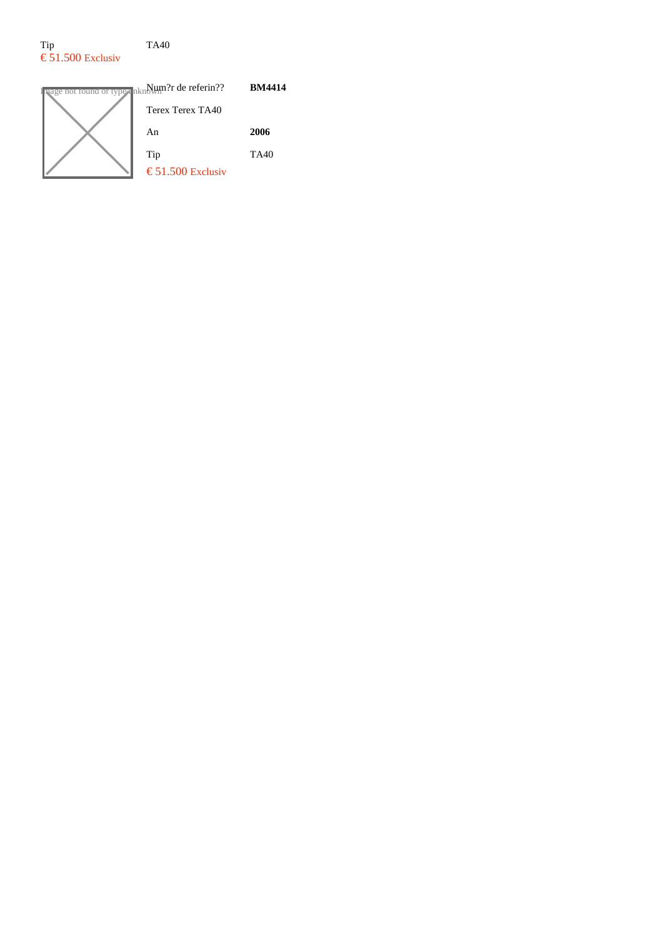### Tip TA40  $\epsilon$  51.500 Exclusiv



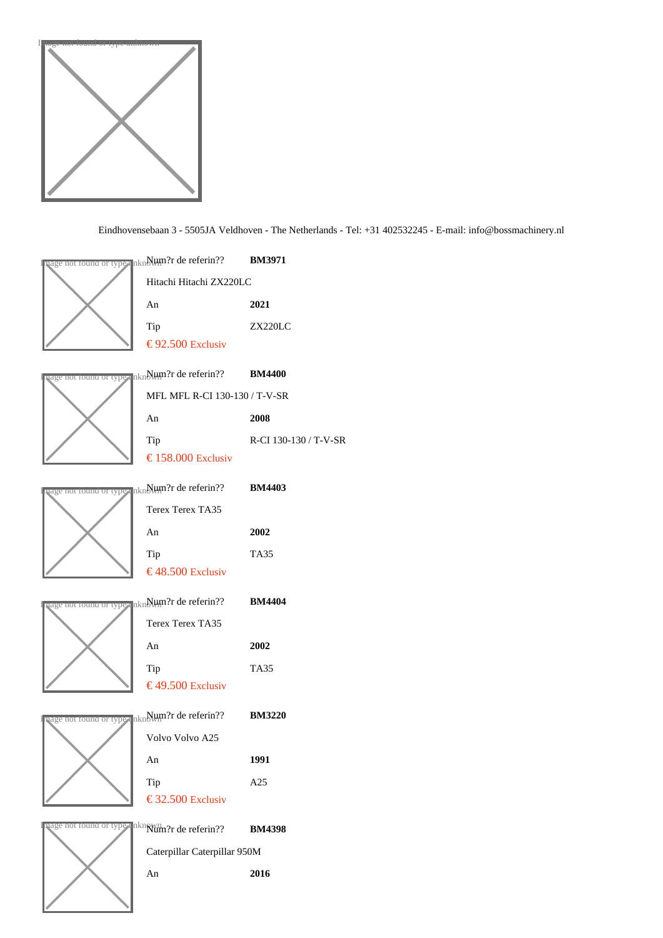

| nage not found or ty@ <sub>≹</sub> unNHm?r de referin??  BM3971          |                       |
|--------------------------------------------------------------------------|-----------------------|
| Hitachi Hitachi ZX220LC                                                  |                       |
| An                                                                       | 2021                  |
| Tip                                                                      | <b>ZX220LC</b>        |
| € 92.50 Exclusiv                                                         |                       |
| <mark>ष्age nor round or tyo</mark> r unNlum?r de referin??       BM4400 |                       |
| MFL MFL R-CI 130-130 / T-V-SR                                            |                       |
| An                                                                       | 2008                  |
| Tip                                                                      | R-CI 130-130 / T-V-SR |
| € 158.00 Exclusiv                                                        |                       |
| बुवge nor round or tyo≢ unN⊎m?r de referin??       BM4403                |                       |
| Terex Terex TA35                                                         |                       |
| An                                                                       | 2002                  |
| Tip                                                                      | <b>TA35</b>           |
| €48.50 Exclusiv                                                          |                       |
| aage nor round or type un∰t∭n?r de referin??                             | <b>BM4404</b>         |
| <b>Terex Terex TA35</b>                                                  |                       |
| An                                                                       | 2002                  |
| Tip                                                                      | <b>TA35</b>           |
| €49.50 Exclusiv                                                          |                       |
| षage nor round or typ <sub>¶</sub> unNµmॢ?r de referin??       BM3220    |                       |
| Volvo Volvo A25                                                          |                       |
| An                                                                       | 1991                  |
| Tip                                                                      | A25                   |
| € 32.50 Exclusiv                                                         |                       |
| aage not round or type unknum?r de referin??                             | <b>BM4398</b>         |
| Caterpillar Caterpillar 950M                                             |                       |
| An                                                                       | 2016                  |
|                                                                          |                       |
|                                                                          |                       |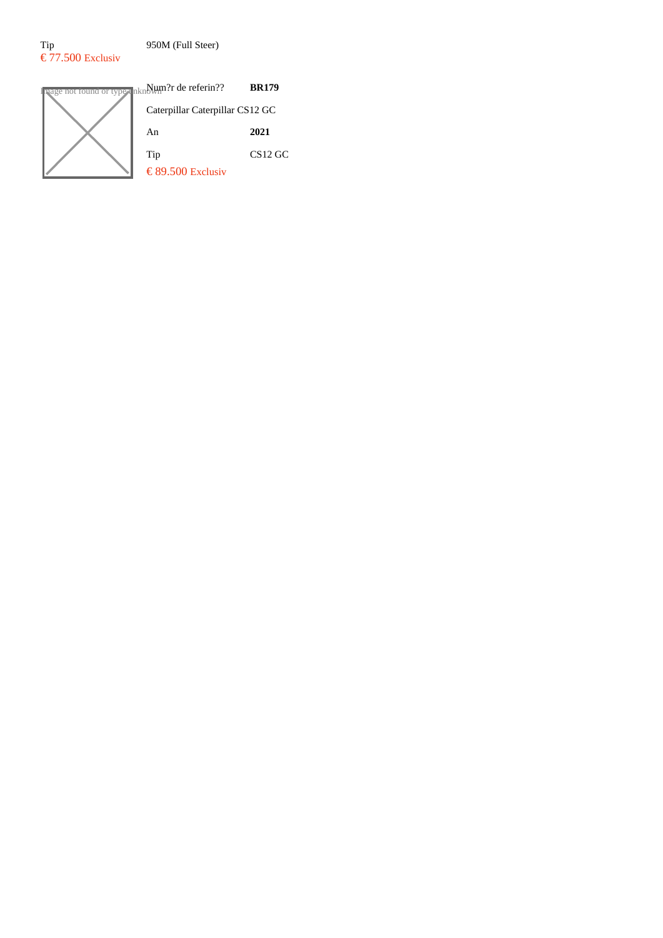$\epsilon$  77.500 Exclusiv

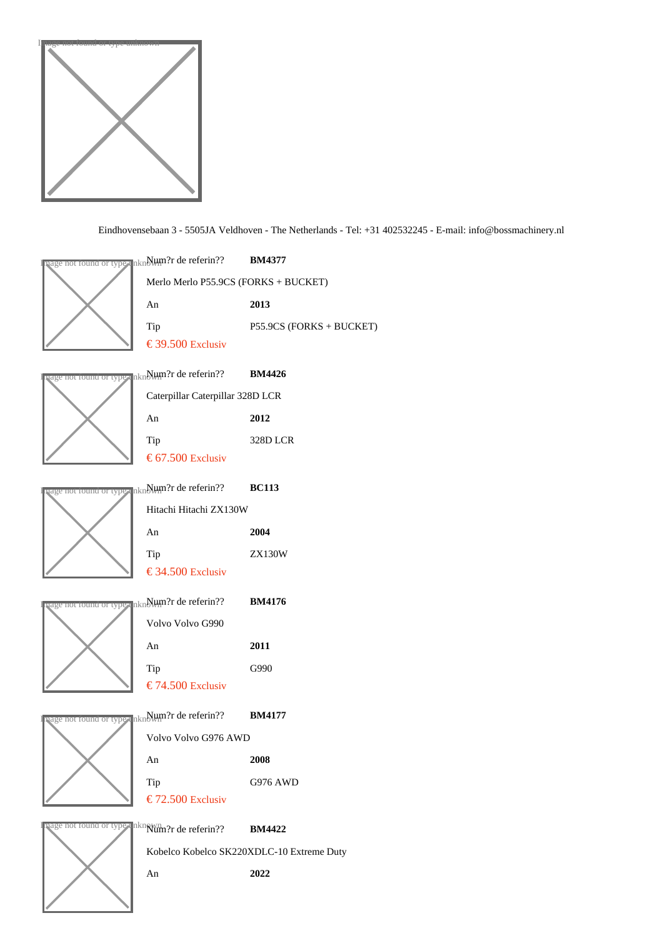

| nage nor iound or type unNl⊎m?r de referin??  BM4377                  |                                           |
|-----------------------------------------------------------------------|-------------------------------------------|
|                                                                       | Merlo Merlo P55.9CS (FORKS + BUCKET)      |
| An                                                                    | 2013                                      |
| Tip                                                                   | P55.9CS (FORKS + BUCKET)                  |
| € 39.50 Exclusiv                                                      |                                           |
| <sub>l</sub> age nor round or tyo∎ unNlum?r de referin??              | <b>BM4426</b>                             |
| Caterpillar Caterpillar 328D LCR                                      |                                           |
| An                                                                    | 2012                                      |
| Tip                                                                   | 328D LCR                                  |
| € 67.50 Exclusiv                                                      |                                           |
| age nor round or type un∰thm?r de referin??  BC113                    |                                           |
| Hitachi Hitachi ZX130W                                                |                                           |
| An                                                                    | 2004                                      |
| Tip                                                                   | <b>ZX130W</b>                             |
| € 34.50 Exclusiv                                                      |                                           |
| <sub>l</sub> age nor round or tyo <sub>s</sub> unNHtMr¦r de referin?? | <b>BM4176</b>                             |
| Volvo Volvo G990                                                      |                                           |
| An                                                                    | 2011                                      |
| Tip                                                                   | G990                                      |
| € 74.50 Exclusiv                                                      |                                           |
| age not found or type unN⊎m?r de referin?? BM4177                     |                                           |
| Volvo Volvo G976 AWD                                                  |                                           |
| An                                                                    | 2008                                      |
| Tip                                                                   | G976 AWD                                  |
| € 72.50 Exclusiv                                                      |                                           |
| vage not round or type unknum?r de referin??                          | <b>BM4422</b>                             |
|                                                                       | Kobelco Kobelco SK220XDLC-10 Extreme Duty |
| An                                                                    | 2022                                      |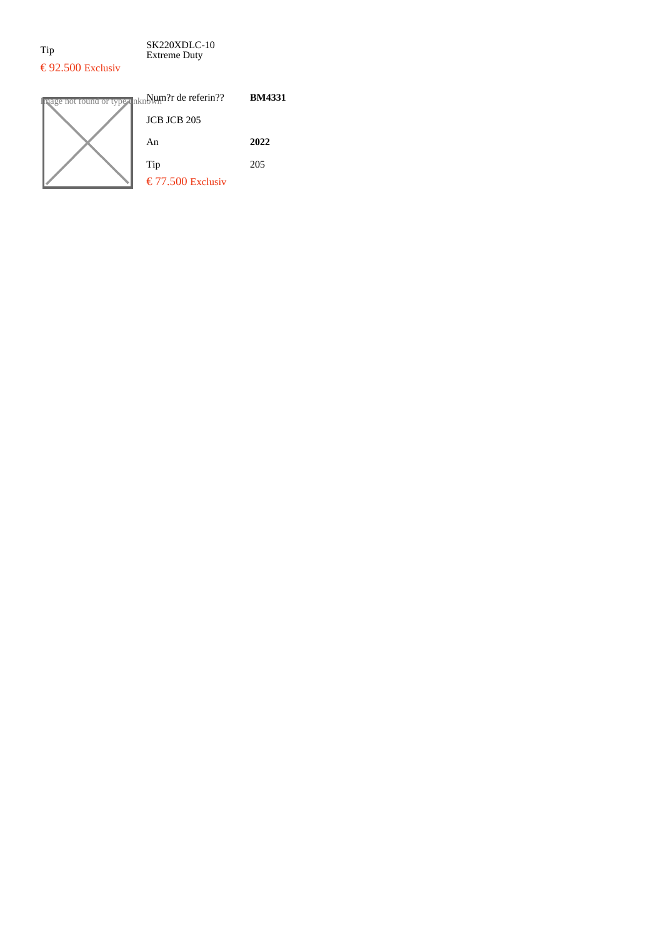Tip SK220XDLC-10 Extreme Duty  $\text{\textsterling}$  92.500 Exclusiv

### $\frac{1}{\text{age not found or type}}$   $\frac{1}{\text{hkn}}\frac{1}{\text{hkn}}$ ?r de referin?? **BM4331** JCB JCB 205 An **2022** Tip 205  $\epsilon$  77.500 Exclusiv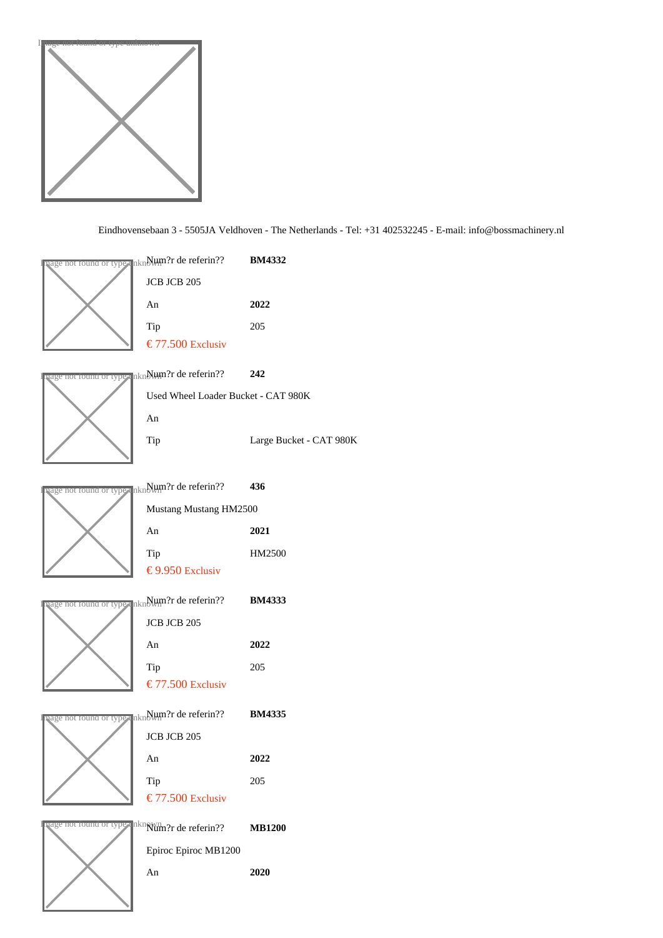

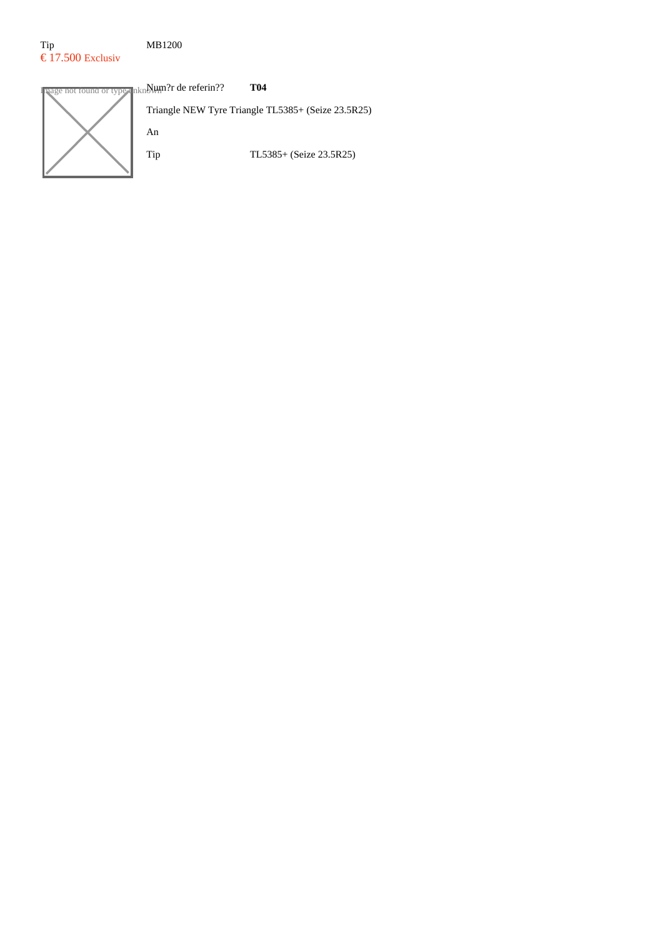### Tip MB1200  $\epsilon$  17.500 Exclusiv

**In the conduct of type unknown T04** referin?? **T04** Triangle NEW Tyre Triangle TL5385+ (Seize 23.5R25) An Tip TL5385+ (Seize 23.5R25)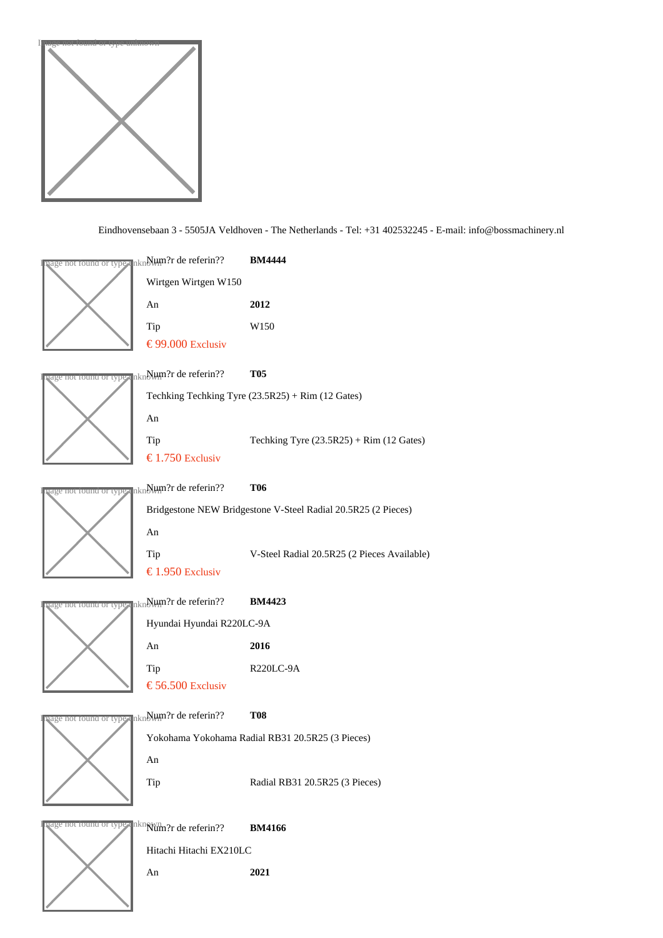



An 2021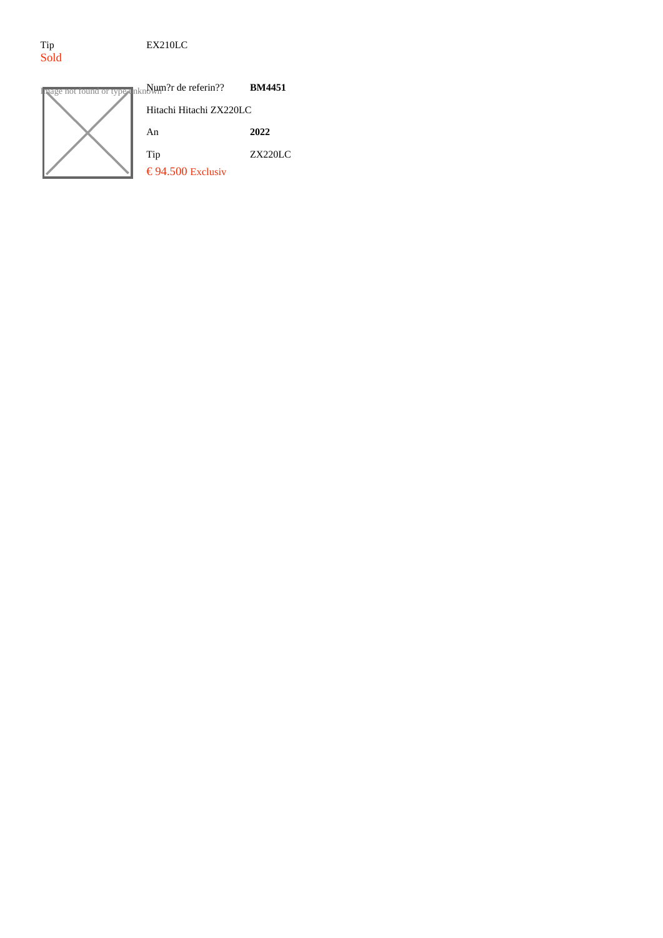Tip EX210LC

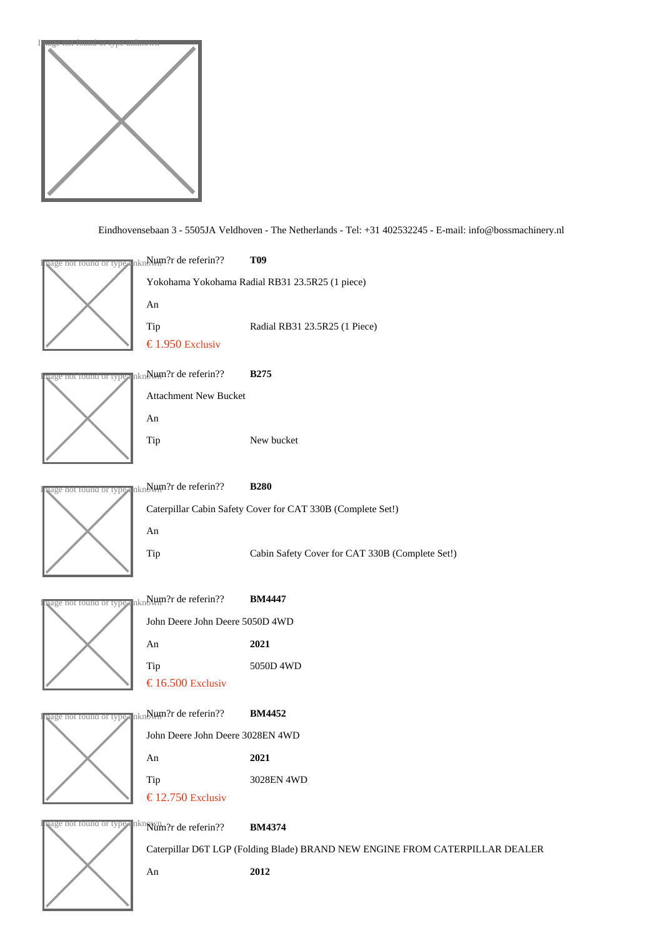

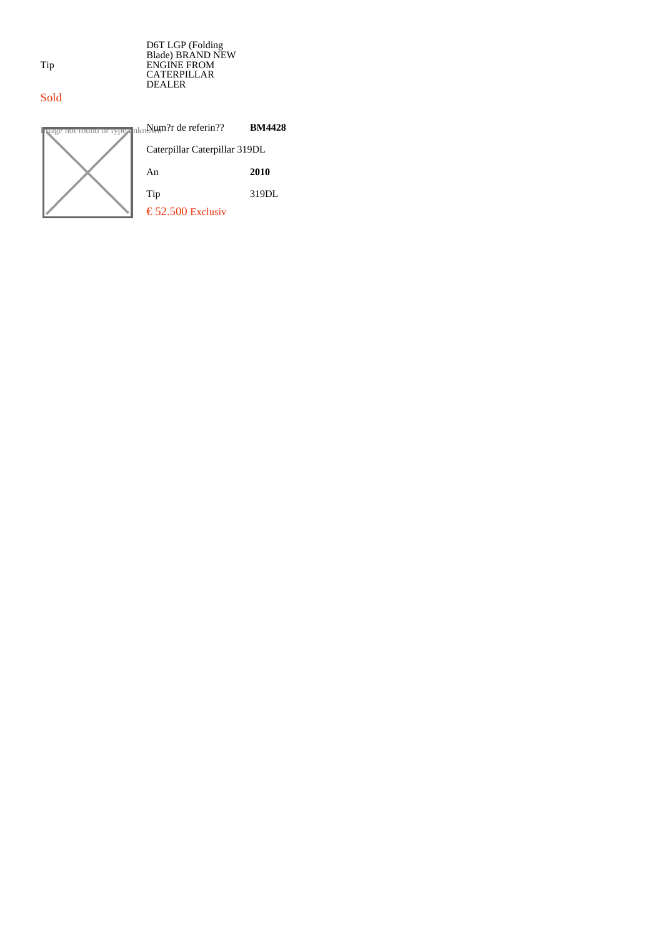D6T LGP (Folding Blade) BRAND NEW ENGINE FROM CATERPILLAR DEALER

### Sold



Tip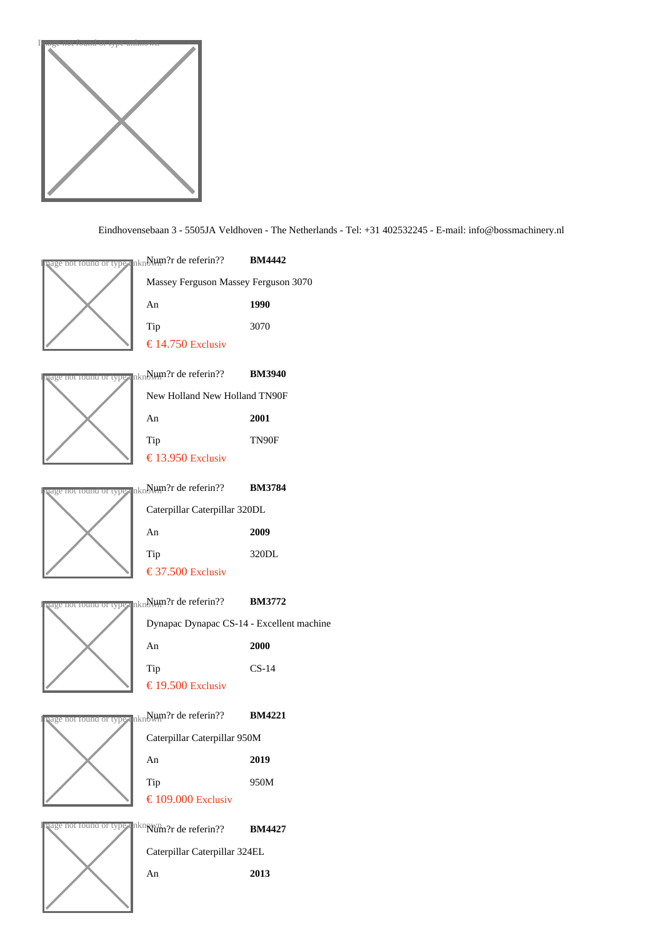

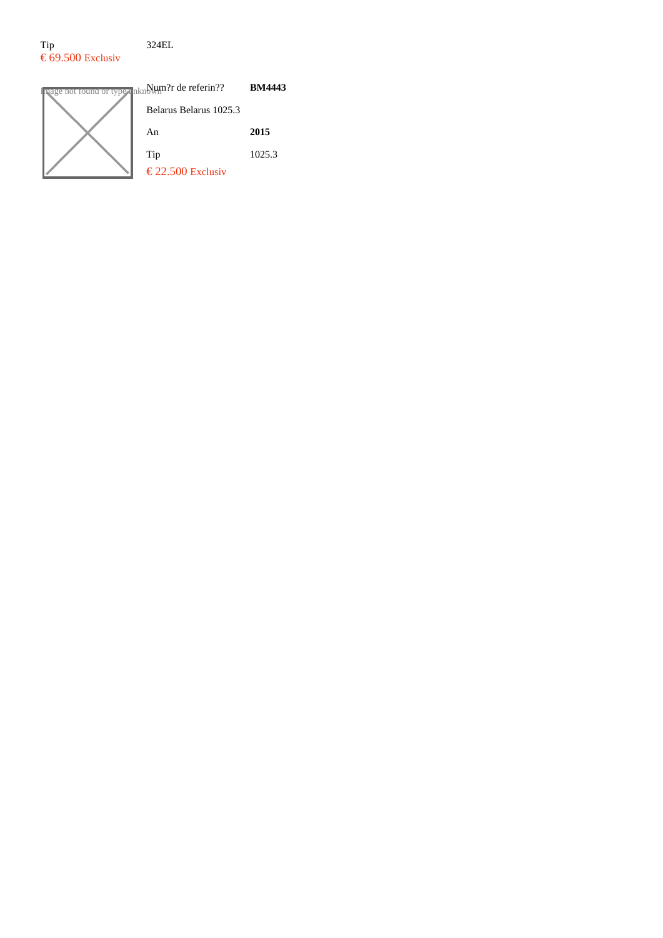### Tip 324EL  $\epsilon$  69.500 Exclusiv

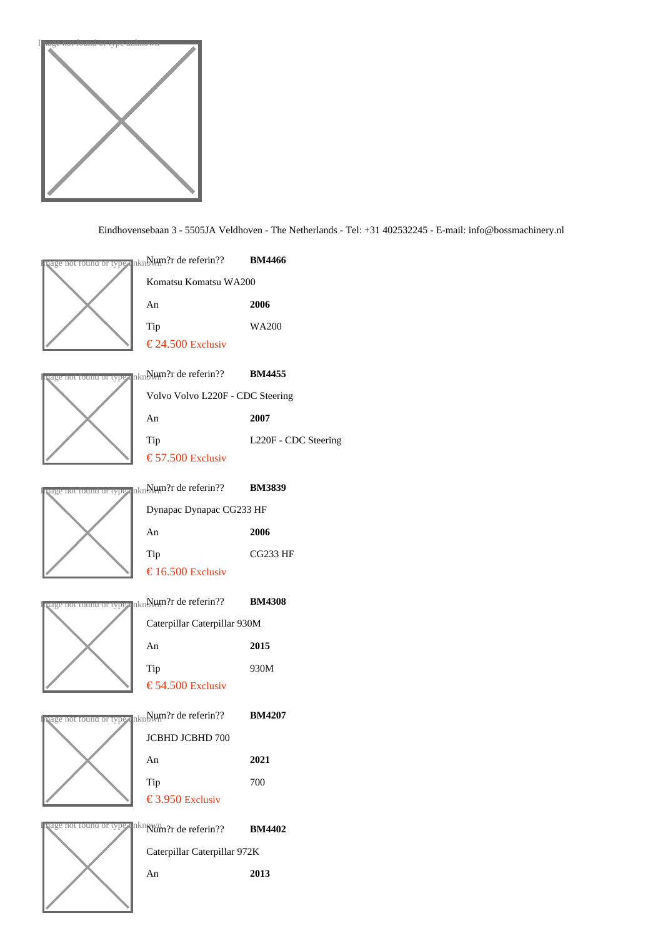

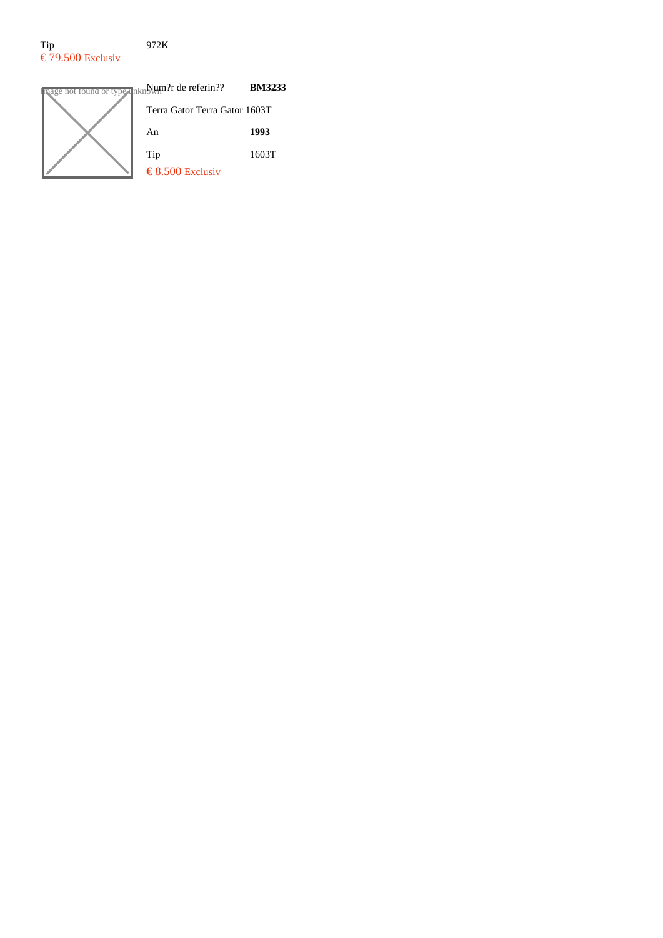#### Tip 972K  $\epsilon$  79.500 Exclusiv

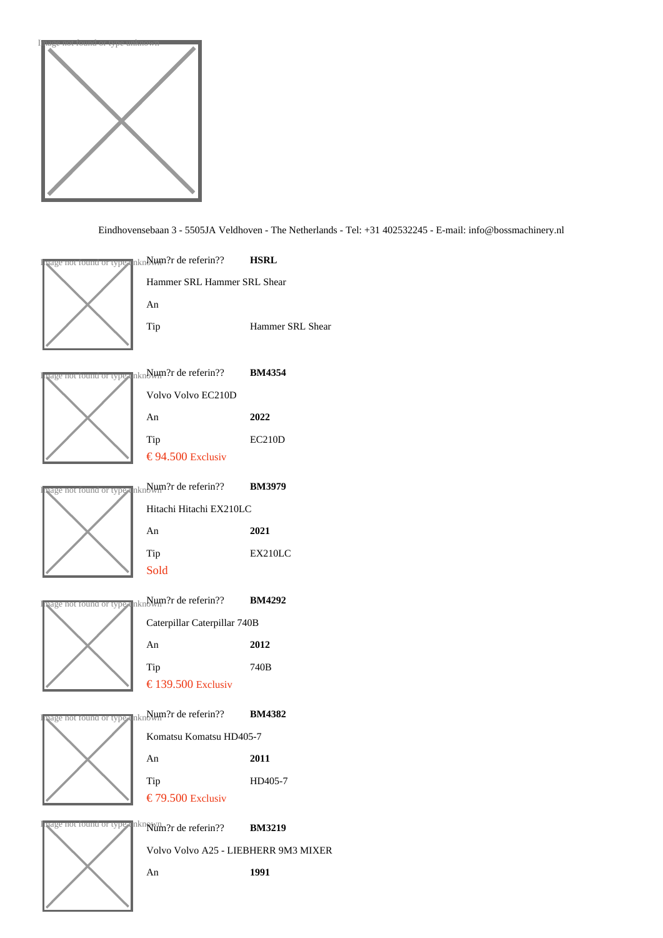



An 1991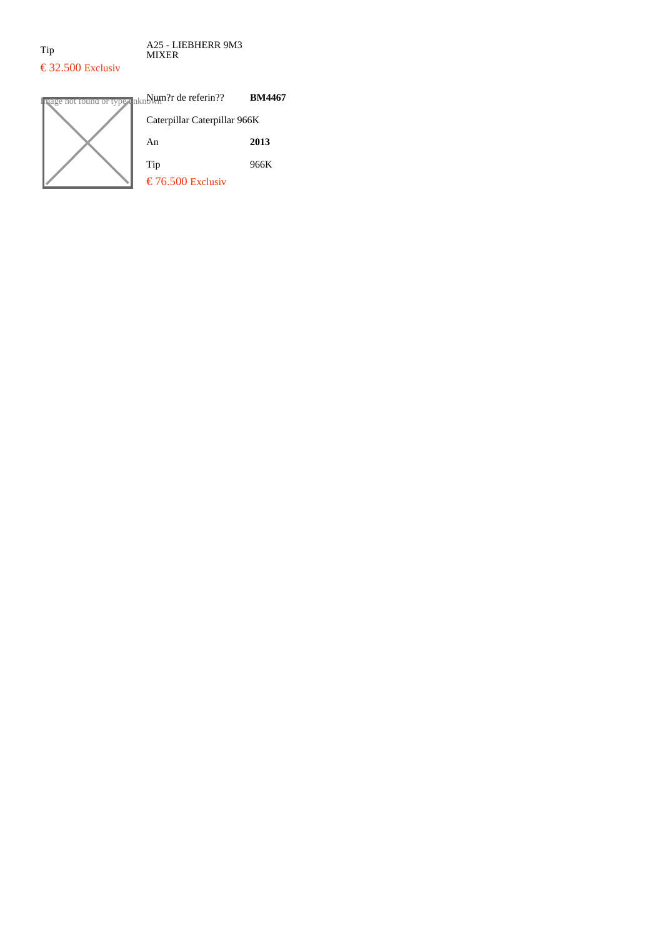Tip A25 - LIEBHERR 9M3 MIXER

## $\text{\textsterling}$  32.500 Exclusiv

| ot found or type unknown?r de referin?? | <b>BM4467</b> |
|-----------------------------------------|---------------|
| Caterpillar Caterpillar 966K            |               |
| An                                      | 2013          |
| Tip                                     | 966K          |
| € 76.500 Exclusiv                       |               |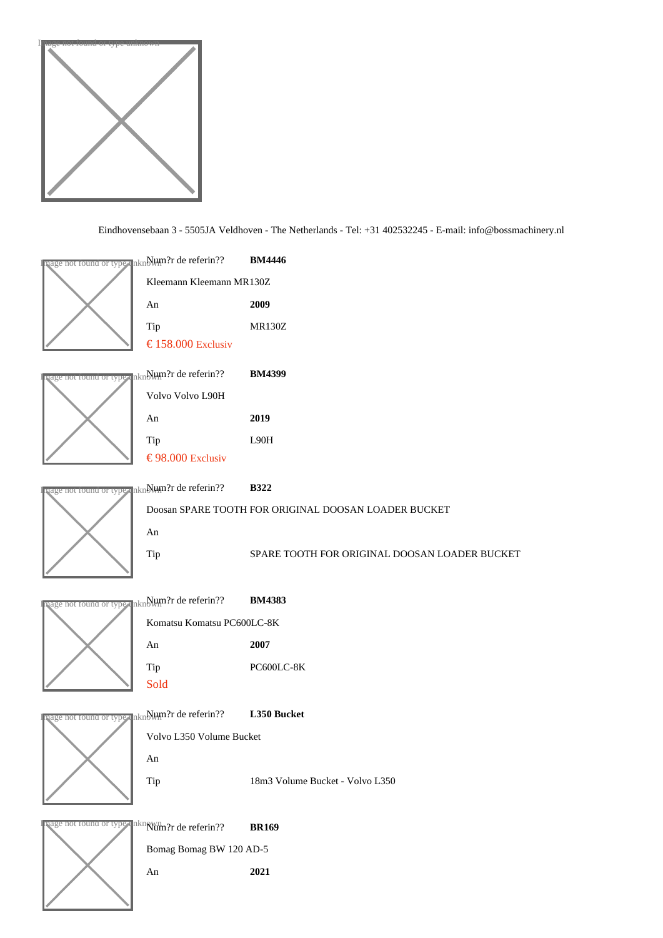

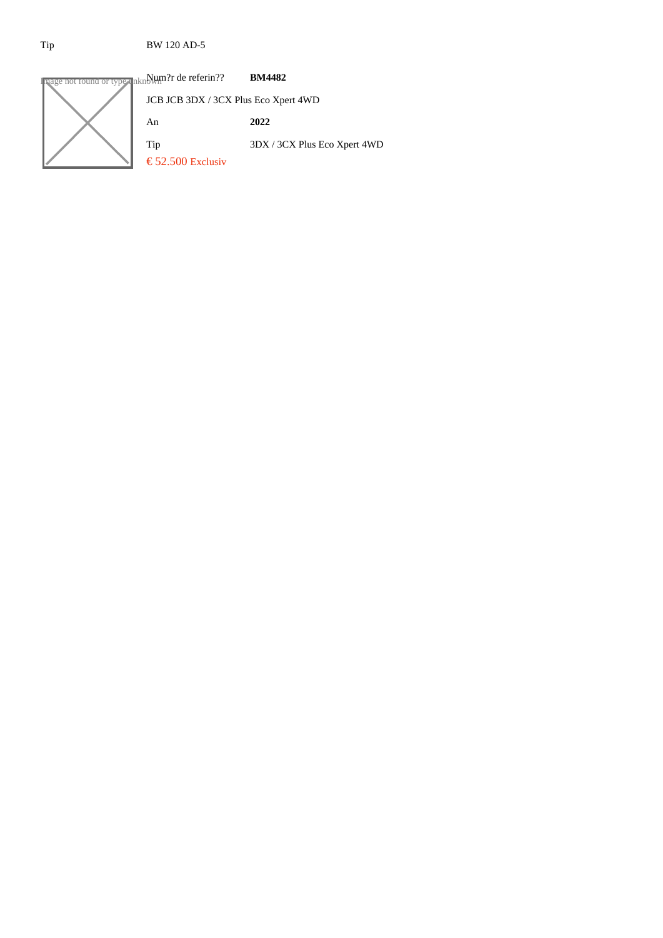### Tip BW 120 AD-5

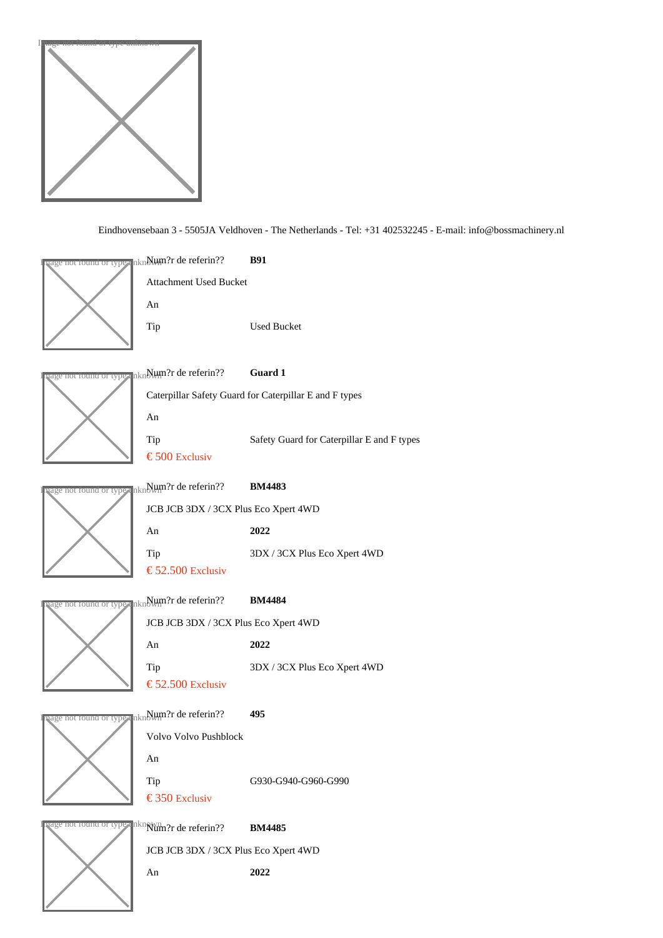

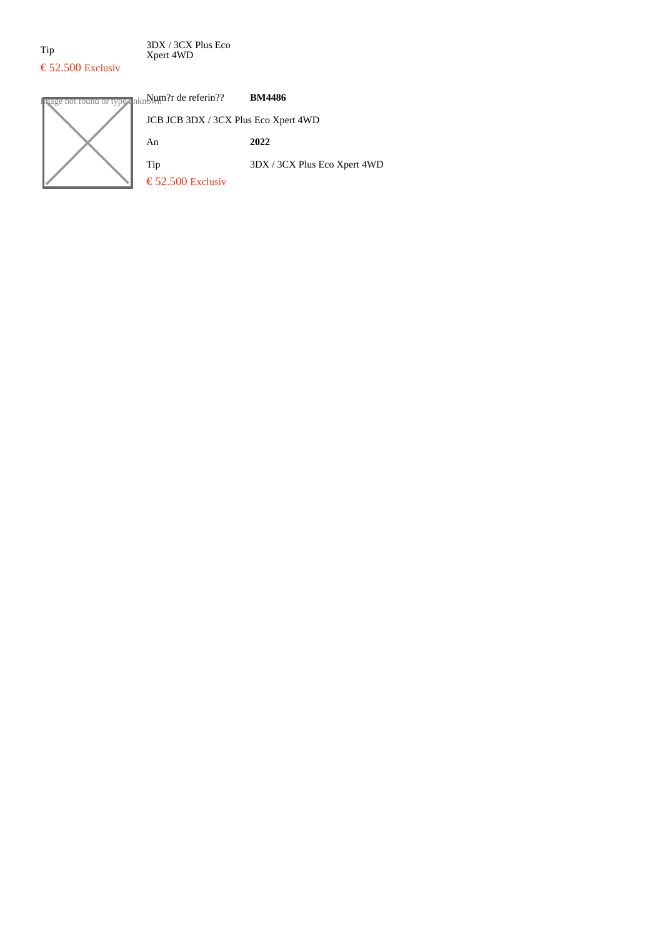Tip 3DX / 3CX Plus Eco Xpert 4WD

## $\epsilon$  52.500 Exclusiv

### Ige not found or type  $\mathbf{u}_{\text{lnkn}}$  $\mathbf{W}_{\text{min}}$ ?r de referin?? **BM4486** JCB JCB 3DX / 3CX Plus Eco Xpert 4WD An **2022** Tip 3DX / 3CX Plus Eco Xpert 4WD  $\epsilon$  52.500 Exclusiv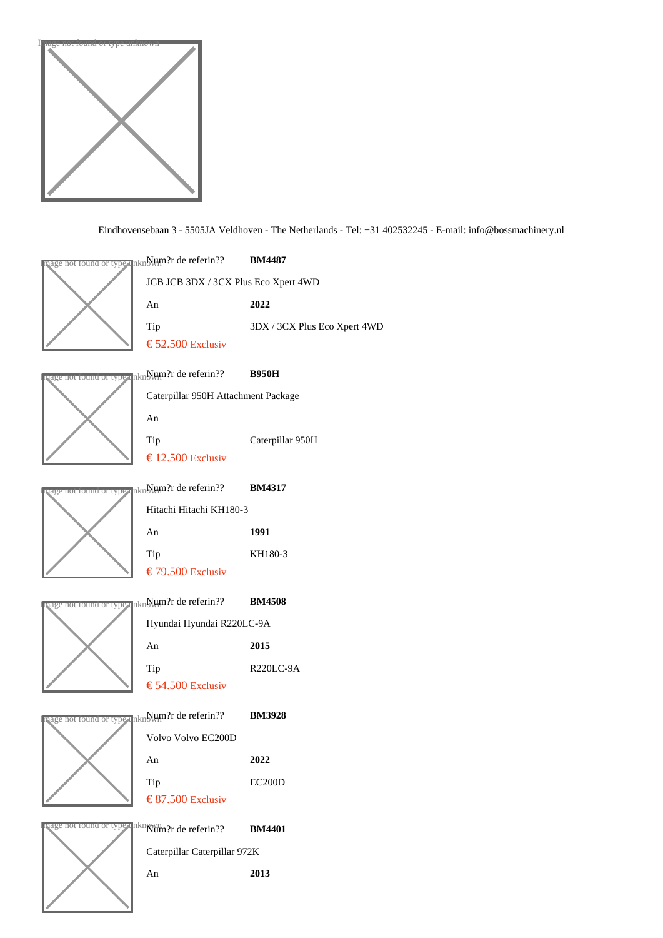

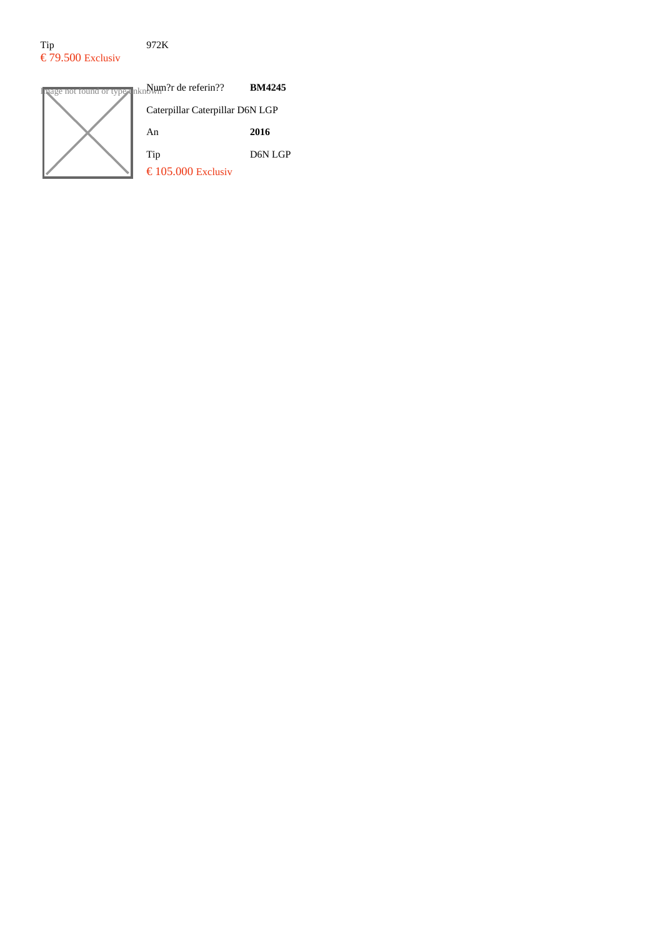#### Tip 972K  $\epsilon$  79.500 Exclusiv

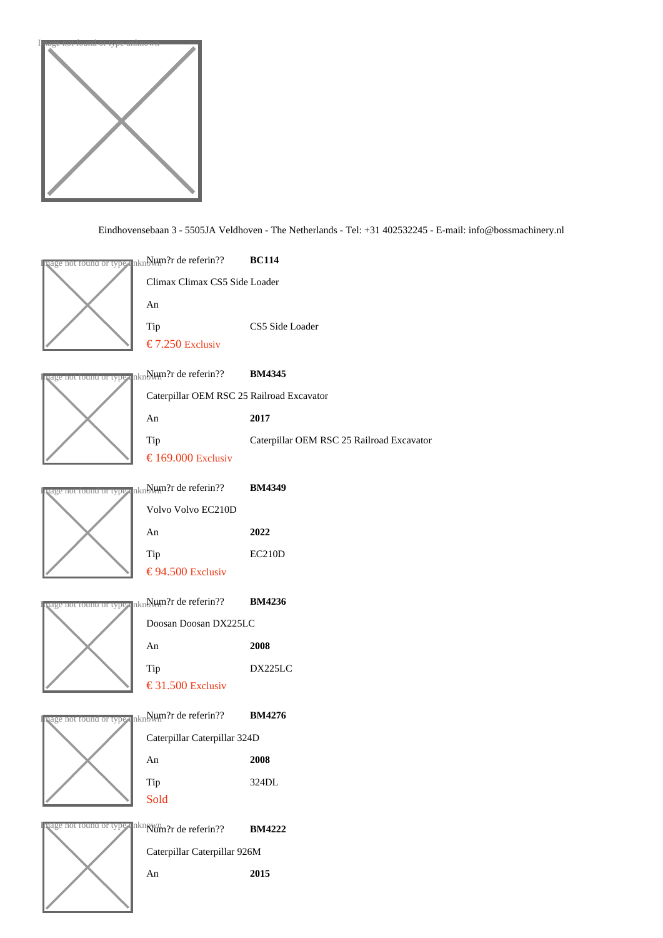

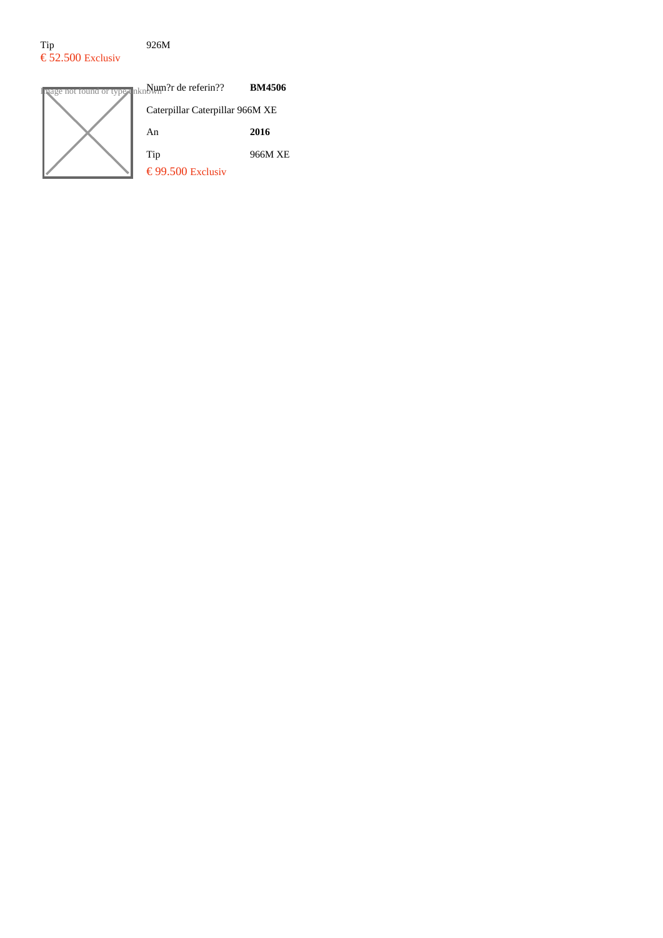### Tip 926M  $\epsilon$  52.500 Exclusiv

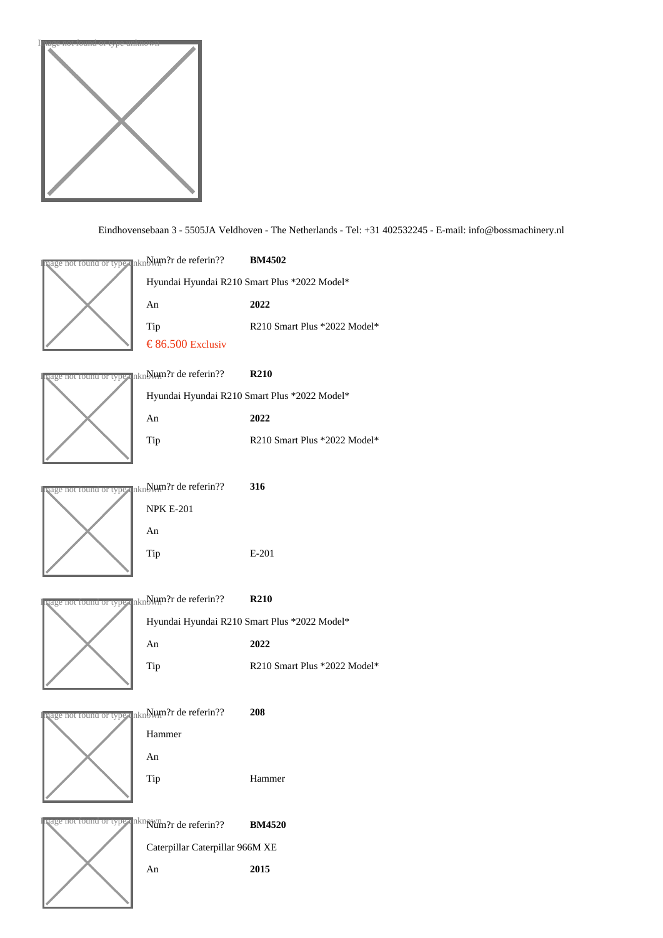

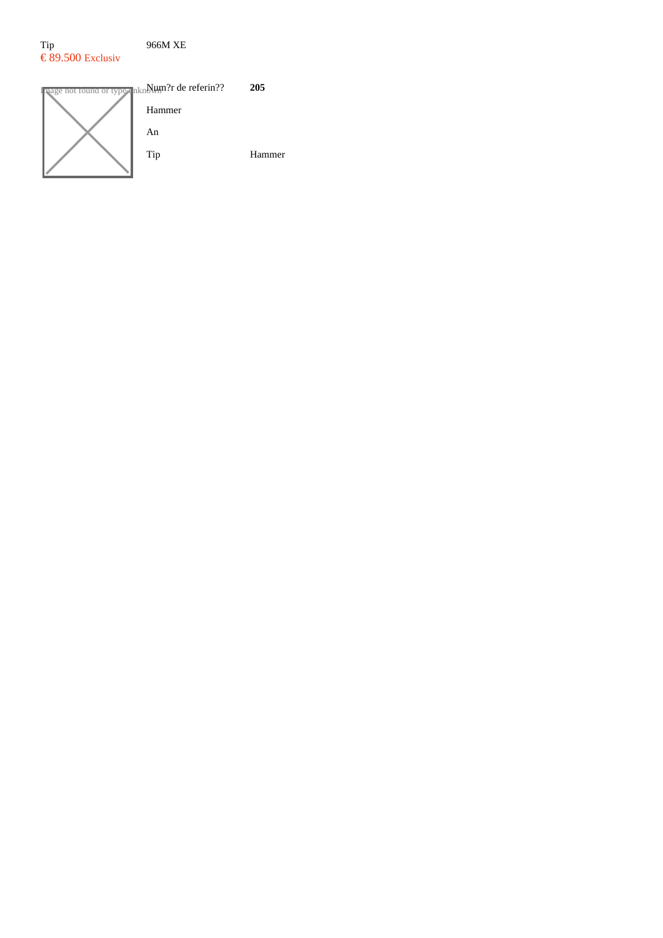### Tip 966M XE  $\epsilon$  89.500 Exclusiv

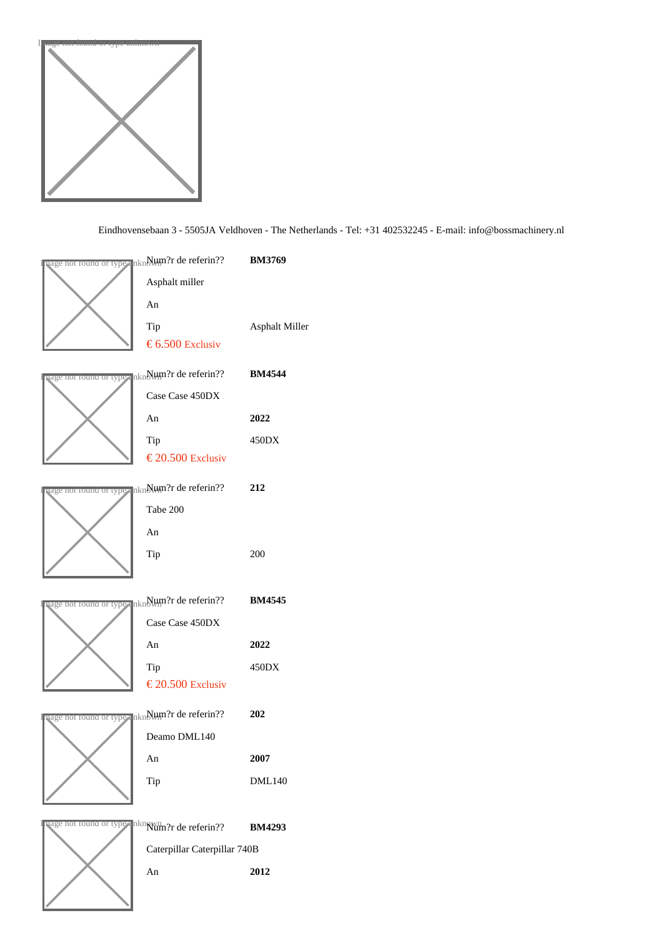

# Eindhovensebaan 3 - 5505JA Veldhoven - The Netherlands - Tel: +31 402532245 - ibfo@bossmachinery.nl

| uage nor round or type unNµm?r de referin??  BM3769                        |                       |
|----------------------------------------------------------------------------|-----------------------|
| Asphalt miller                                                             |                       |
| An                                                                         |                       |
| Tip                                                                        | <b>Asphalt Miller</b> |
| € 6.50Œxclusiv                                                             |                       |
| षुage nor round or typ <sub>¶</sub> unNµmॢ?r de referin??       BM4544     |                       |
| Case Case 450DX                                                            |                       |
| An                                                                         | 2022                  |
| Tip                                                                        | 450DX                 |
| € 20.50 Exclusiv                                                           |                       |
| งage nor round or type un Num?r de referin?? 212                           |                       |
| Tabe 200                                                                   |                       |
| An                                                                         |                       |
| Tip                                                                        | 200                   |
|                                                                            |                       |
| aage nor round or typ <sub>¶</sub> unNlum?r de referin??       BM4545      |                       |
| Case Case 450DX                                                            |                       |
| An                                                                         | 2022                  |
| Tip                                                                        | 450DX                 |
| € 20.50Œxclusiv                                                            |                       |
| ଏage nor round or tyo∉ un୍ <mark>ଷ</mark> ାଧ୍ୟକ୍ଷମିr de referin??      202 |                       |
| Deamo DML140                                                               |                       |
| An                                                                         | 2007                  |
| Tip                                                                        | <b>DML140</b>         |
|                                                                            |                       |
| vage not round or type unknum?r de referin??                               | BM4293                |
| Caterpillar Caterpillar 740B                                               |                       |
| An                                                                         | 2012                  |
|                                                                            |                       |
|                                                                            |                       |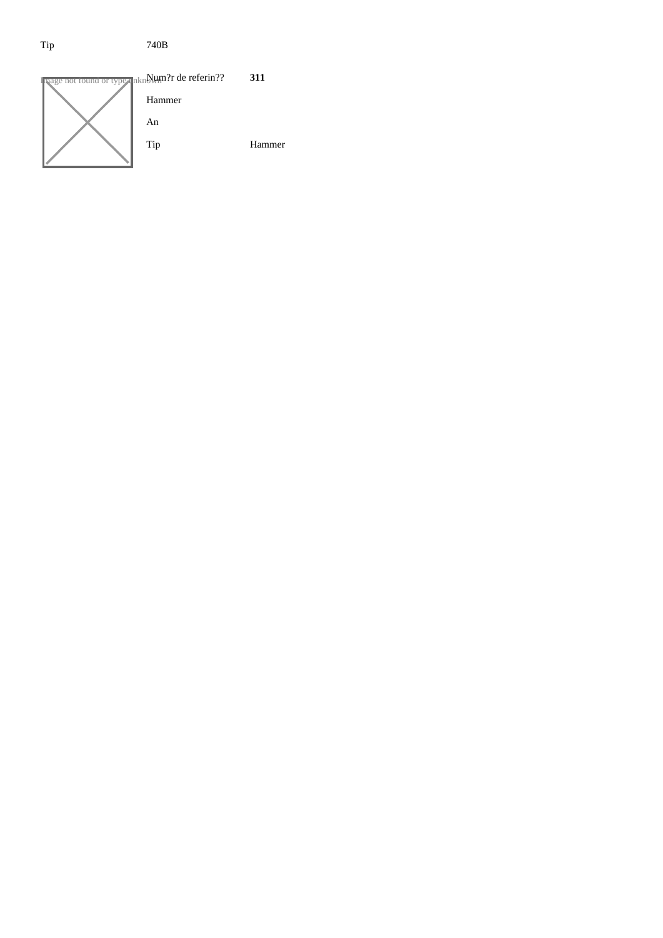# Tip 740B

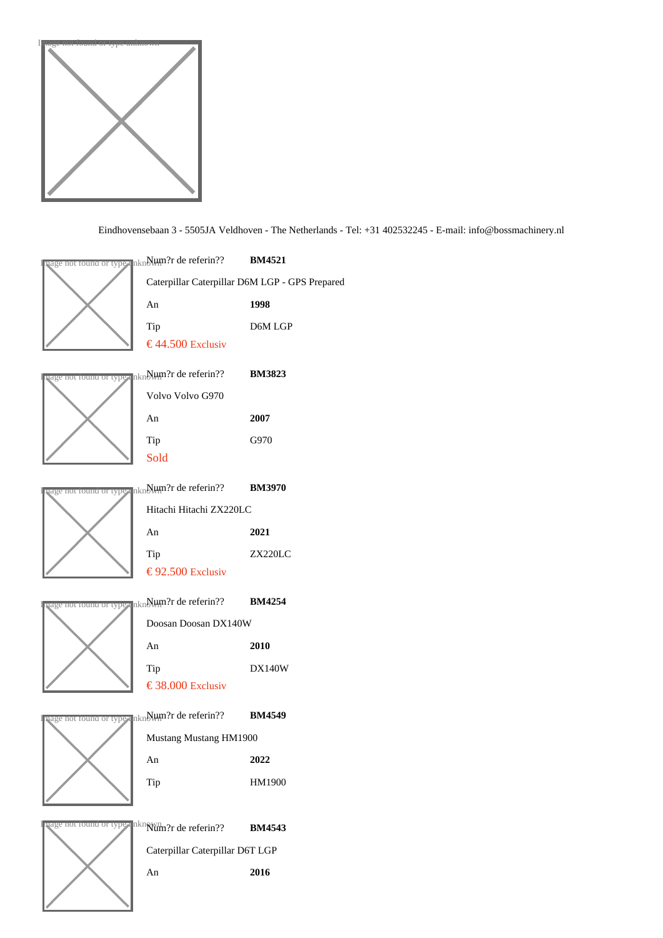

Eindhovensebaan 3 - 5505JA Veldhoven - The Netherlands - Tel: +31 402532245 - iEfo@bossmachinery.nl

|                               | <mark>qage nor round or typ</mark> e unे∰t}िय de referin??       BM4521            |                                                |  |
|-------------------------------|------------------------------------------------------------------------------------|------------------------------------------------|--|
|                               |                                                                                    | Caterpillar Caterpillar D6M LGP - GPS Prepared |  |
|                               | An                                                                                 | 1998                                           |  |
|                               | Tip                                                                                | D6M LGP                                        |  |
|                               | €44.50 Exclusiv                                                                    |                                                |  |
|                               | aage nor round or type unNlum?r de referin??  BM3823                               |                                                |  |
|                               | Volvo Volvo G970                                                                   |                                                |  |
|                               | An                                                                                 | 2007                                           |  |
|                               | Tip                                                                                | G970                                           |  |
|                               | <b>Sold</b>                                                                        |                                                |  |
|                               | aage nor round or tyo∎ unNlum?r de referin??       BM3970                          |                                                |  |
|                               | Hitachi Hitachi ZX220LC                                                            |                                                |  |
|                               | An                                                                                 | 2021                                           |  |
|                               | Tip                                                                                | <b>ZX220LC</b>                                 |  |
|                               | € 92.50 Exclusiv                                                                   |                                                |  |
|                               | <mark>प्age nor roun<del>a or type</del> un</mark> Num?r de referin??       BM4254 |                                                |  |
|                               |                                                                                    | Doosan Doosan DX140W                           |  |
|                               | An                                                                                 | 2010                                           |  |
|                               | Tip                                                                                | <b>DX140W</b>                                  |  |
|                               | € 38.00 Exclusiv                                                                   |                                                |  |
|                               | <sub>ୟସଓ</sub> not round or type unN⊎ଲ?r de referin??  BM4549                      |                                                |  |
|                               | Mustang Mustang HM1900                                                             |                                                |  |
|                               | An                                                                                 | 2022                                           |  |
|                               | Tip                                                                                | HM1900                                         |  |
|                               |                                                                                    |                                                |  |
| <b>PEDE NOT TOUNG OF LYPE</b> | unklum?r de referin??                                                              | <b>BM4543</b>                                  |  |
|                               | Caterpillar Caterpillar D6T LGP                                                    |                                                |  |
|                               |                                                                                    |                                                |  |

An 2016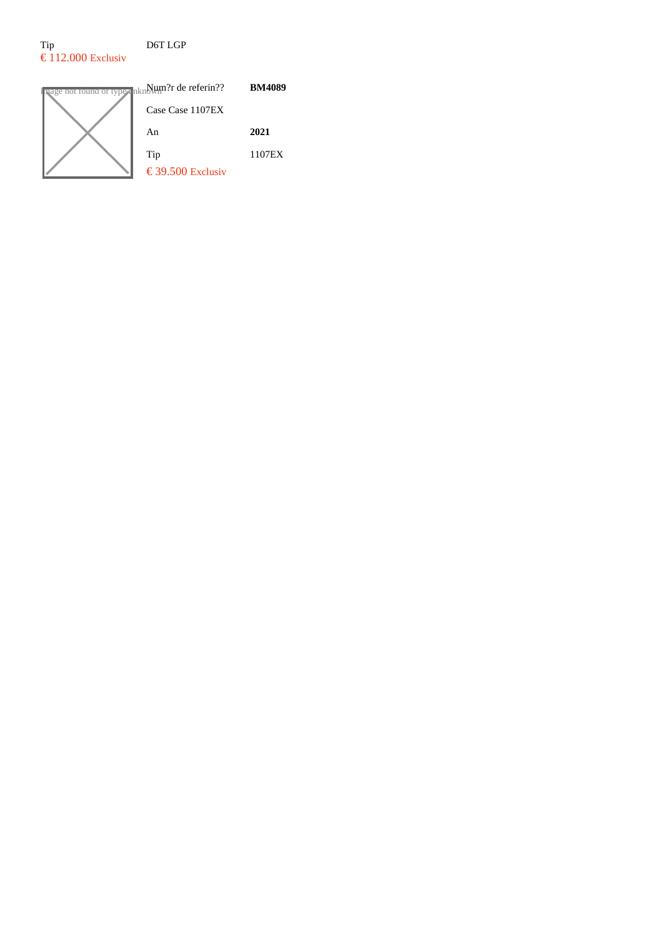# Tip D6T LGP  $\epsilon$  112.000 Exclusiv

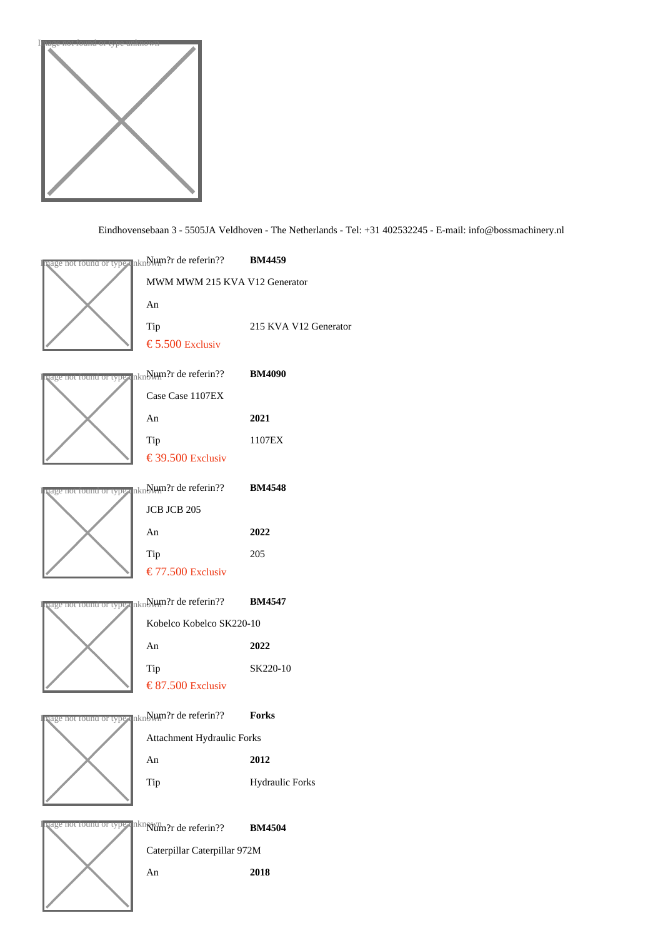

Eindhovensebaan 3 - 5505JA Veldhoven - The Netherlands - Tel: +31 402532245 - iEfo@bossmachinery.nl

|                                        | षुage nor round or typ <sub>¶</sub> unे∰t∰ी de referin??       BM4459  |                        |
|----------------------------------------|------------------------------------------------------------------------|------------------------|
|                                        | MWM MWM 215 KVA V12 Generator                                          |                        |
|                                        | An                                                                     |                        |
|                                        | Tip                                                                    | 215 KVA V12 Generator  |
|                                        | € 5.50 Œxclusiv                                                        |                        |
|                                        | षुage not found or type unे∰t∰?r de referin??       BM4090             |                        |
|                                        | Case Case 1107EX                                                       |                        |
|                                        | An                                                                     | 2021                   |
|                                        | Tip                                                                    | 1107EX                 |
|                                        | € 39.50 Exclusiv                                                       |                        |
|                                        | aage nor round or tyo≰ unNlum?r de referin??       BM4548              |                        |
|                                        | JCB JCB 205                                                            |                        |
|                                        | An                                                                     | 2022                   |
|                                        | Tip                                                                    | 205                    |
|                                        | € 77.50 Exclusiv                                                       |                        |
|                                        | uage nor round or type unN⊎m?r de referin??  BM4547                    |                        |
|                                        | Kobelco Kobelco SK220-10                                               |                        |
|                                        | An                                                                     | 2022                   |
|                                        | Tip                                                                    | SK220-10               |
|                                        | € 87.50 Exclusiv                                                       |                        |
|                                        | <sub>ୟସଓ</sub> e nor round or type un∯l⊎ଲନ୍ଧr de referin??       Forks |                        |
|                                        | Attachment Hydraulic Forks                                             |                        |
|                                        | An                                                                     | 2012                   |
|                                        | Tip                                                                    | <b>Hydraulic Forks</b> |
|                                        |                                                                        |                        |
| <b><u>PELICE NOT TOUNG OF TYPE</u></b> | unklum?r de referin??                                                  | <b>BM4504</b>          |
|                                        | Caterpillar Caterpillar 972M                                           |                        |
|                                        |                                                                        |                        |

An 2018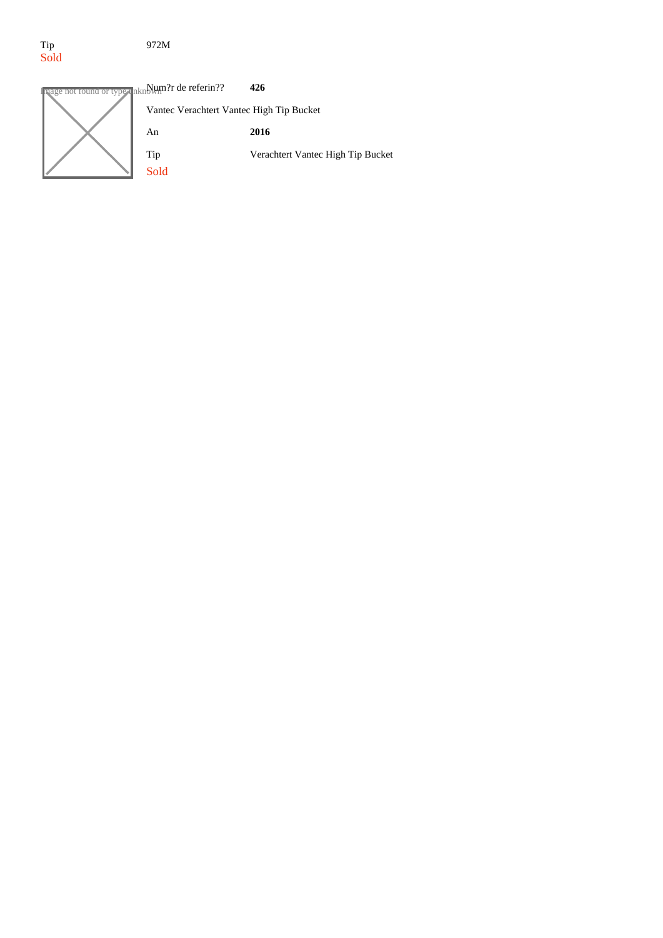# Tip<br>Sold

#### 972M

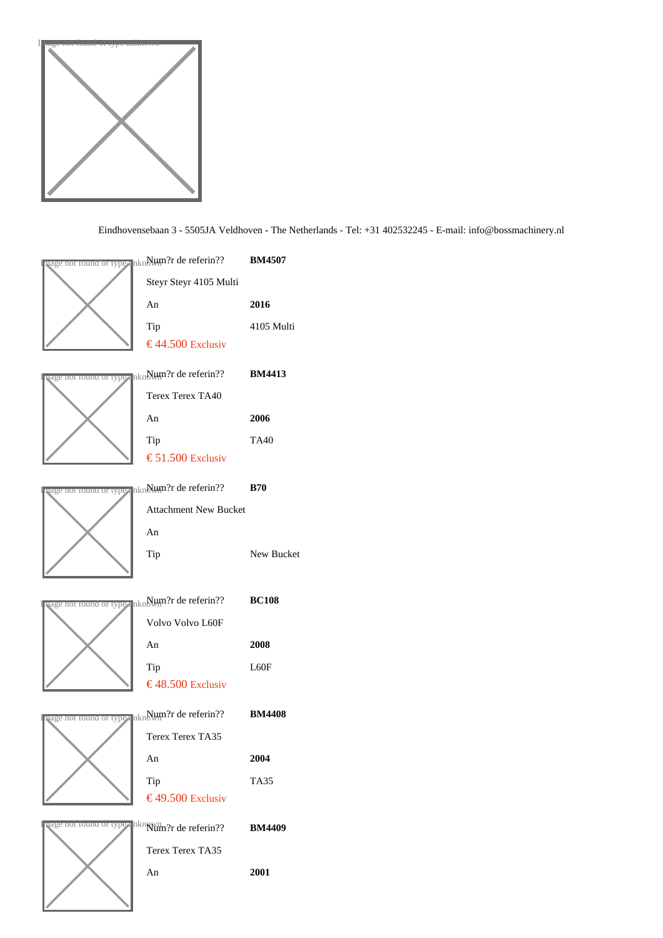

Eindhovensebaan 3 - 5505JA Veldhoven - The Netherlands - Tel: +31 402532245 - ibfo@bossmachinery.nl

| uage nor <del>round or type</del> unNµm?r de referin??  BM4507                                               |                   |
|--------------------------------------------------------------------------------------------------------------|-------------------|
| Steyr Steyr 4105 Multi                                                                                       |                   |
| An                                                                                                           | 2016              |
| Tip                                                                                                          | 4105 Multi        |
| €44.50 Exclusiv                                                                                              |                   |
| षुage nor round or typ <sub>¶</sub> unे. Hum?r de referin??       BM4413                                     |                   |
| <b>Terex Terex TA40</b>                                                                                      |                   |
| An                                                                                                           | 2006              |
| Tip                                                                                                          | <b>TA40</b>       |
| € 51.50 Exclusiv                                                                                             |                   |
| <sub>lage nor round or tye⊪ un.Wum?r de referin??  B70</sub>                                                 |                   |
| <b>Attachment New Bucket</b>                                                                                 |                   |
| An                                                                                                           |                   |
| Tip                                                                                                          | <b>New Bucket</b> |
|                                                                                                              |                   |
| aage not found or type unNHM?r de referin??  BC108                                                           |                   |
| Volvo Volvo L60F                                                                                             |                   |
| An                                                                                                           | 2008              |
|                                                                                                              |                   |
| Tip                                                                                                          | L60F              |
| € 48.50 Exclusiv                                                                                             |                   |
|                                                                                                              |                   |
| <sub>tage nor round or typ<sub>ई</sub> unे. Hum?r de referin??       BM4408</sub><br><b>Terex Terex TA35</b> |                   |
| An                                                                                                           | 2004              |
| Tip                                                                                                          | <b>TA35</b>       |
| € 49.50 Exclusiv                                                                                             |                   |
| aage not round or type unklum?r de referin??                                                                 | <b>BM4409</b>     |
| <b>Terex Terex TA35</b>                                                                                      |                   |
| An                                                                                                           | 2001              |
|                                                                                                              |                   |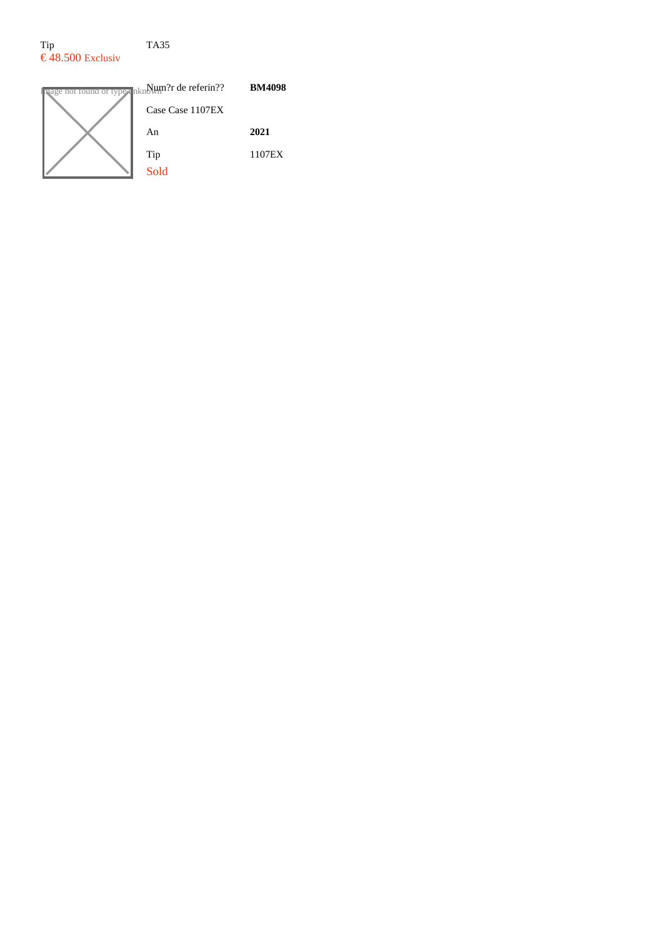### Tip TA35  $\epsilon$  48.500 Exclusiv

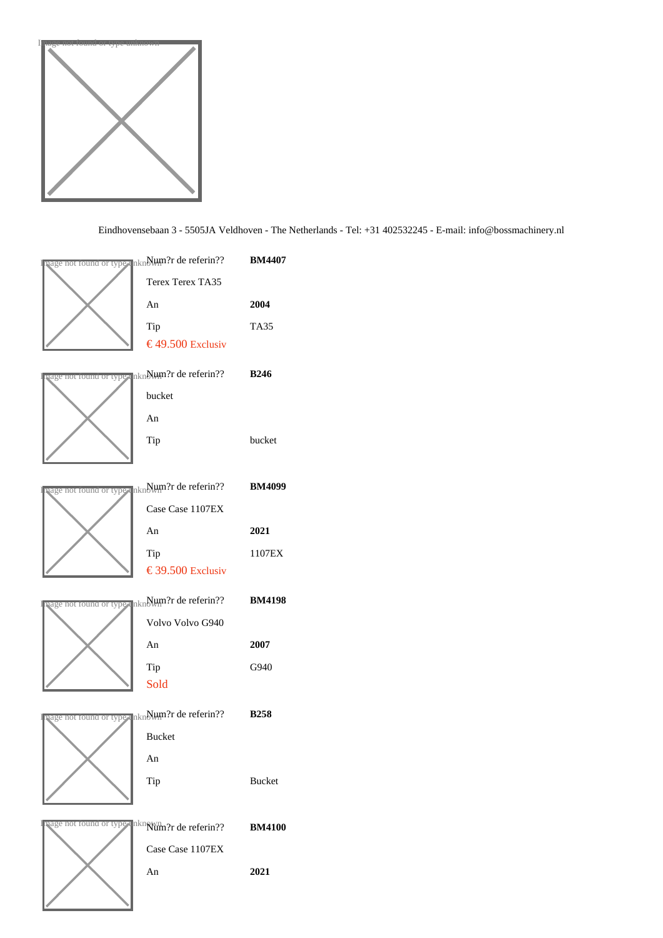

# Eindhovensebaan 3 - 5505JA Veldhoven - The Netherlands - Tel: +31 402532245 - ibfo@bossmachinery.nl

|                               | aage nor round or type un∰⊎m?r de referin??                     | <b>BM4407</b> |
|-------------------------------|-----------------------------------------------------------------|---------------|
|                               | <b>Terex Terex TA35</b>                                         |               |
|                               | An                                                              | 2004          |
|                               | Tip                                                             | <b>TA35</b>   |
|                               | € 49.50 Exclusiv                                                |               |
|                               | aage norround or type un∰⊎m?r de referin??  B246                |               |
|                               | bucket                                                          |               |
|                               | An                                                              |               |
|                               | Tip                                                             | bucket        |
|                               |                                                                 |               |
|                               | <sub>lage nor round or typ⊪ unNl⊎m?r de referin??  BM4099</sub> |               |
|                               | Case Case 1107EX                                                |               |
|                               | An                                                              | 2021          |
|                               | Tip                                                             | 1107EX        |
|                               | € 39.50 Exclusiv                                                |               |
|                               |                                                                 |               |
|                               | aage nor round or typ⊪ unNlum?r de referin??                    | <b>BM4198</b> |
|                               | Volvo Volvo G940                                                |               |
|                               | An                                                              | 2007          |
|                               | Tip                                                             | G940          |
|                               | <b>Sold</b>                                                     |               |
|                               | vage nor round or type un∯lum?r de referin??       B258         |               |
|                               | <b>Bucket</b>                                                   |               |
|                               | An                                                              |               |
|                               | Tip                                                             | <b>Bucket</b> |
|                               |                                                                 |               |
| <u>vage not round or type</u> | unklum?r de referin??                                           | <b>BM4100</b> |
|                               | Case Case 1107EX                                                |               |
|                               | An                                                              | 2021          |
|                               |                                                                 |               |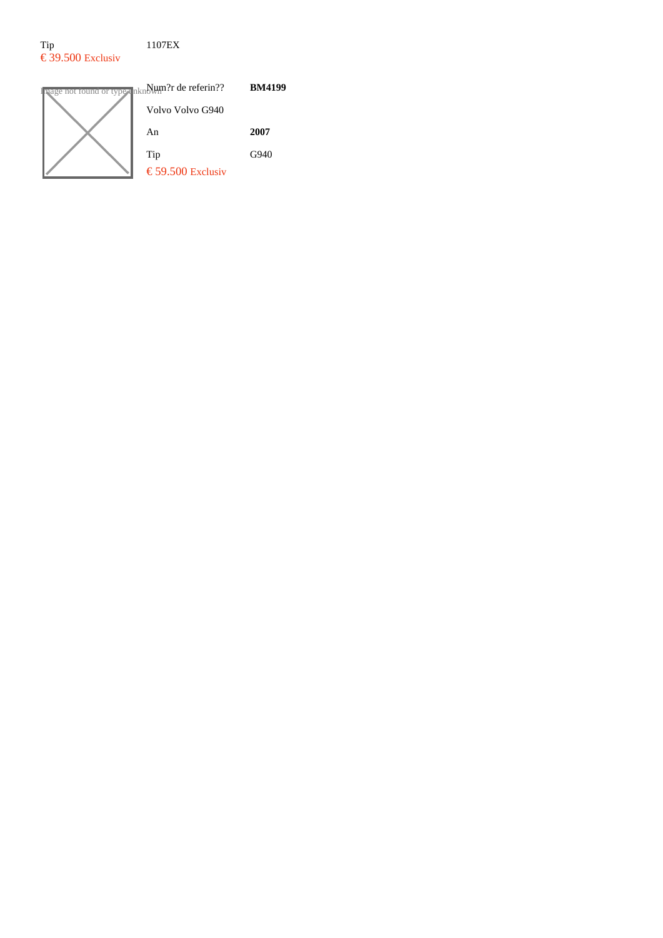# Tip 1107EX  $\epsilon$  39.500 Exclusiv



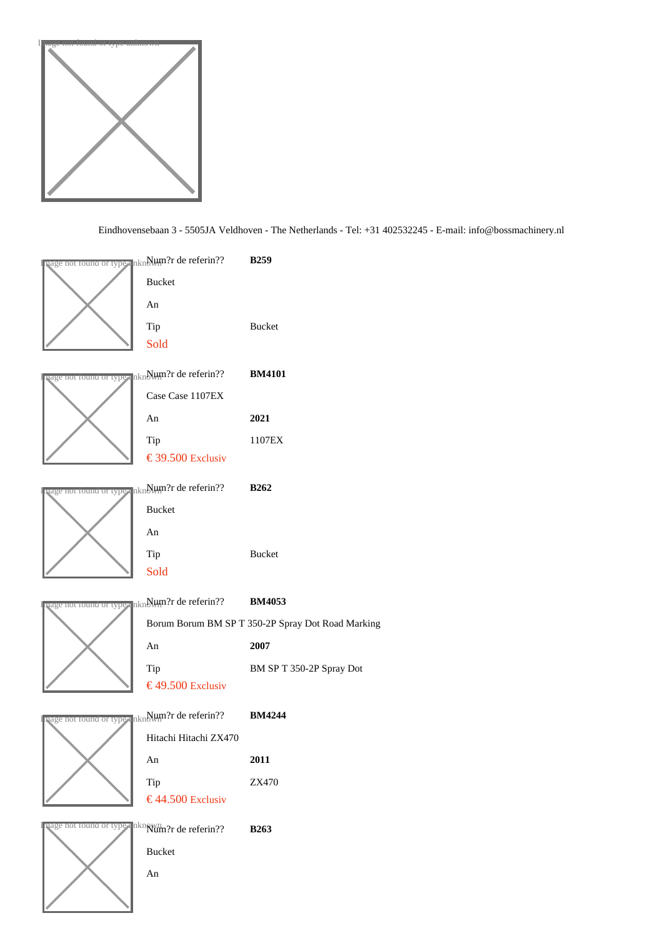

Eindhovensebaan 3 - 5505JA Veldhoven - The Netherlands - Tel: +31 402532245 - infore thossmachinery.nl

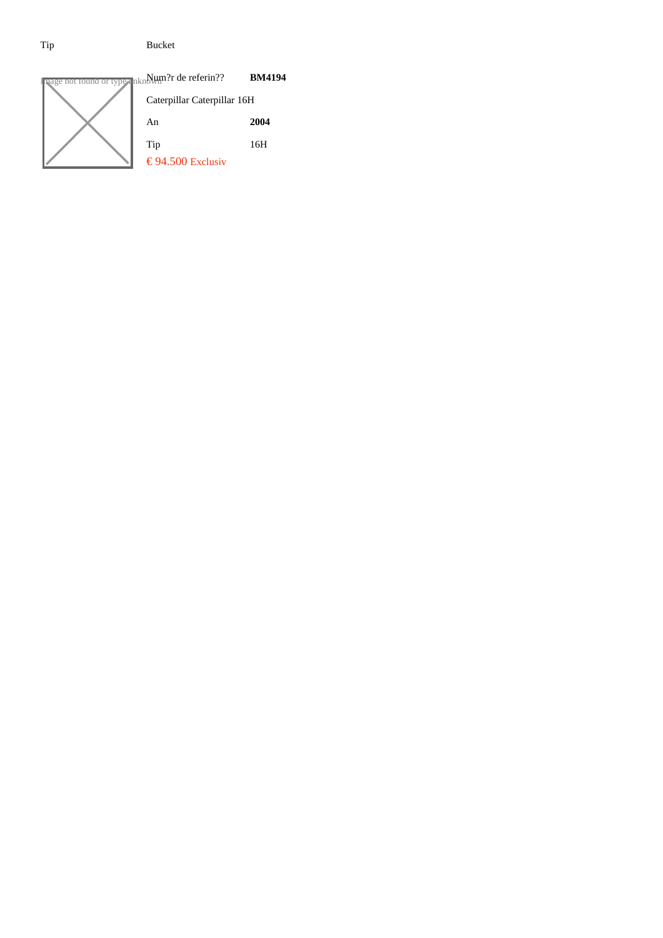# Tip Bucket

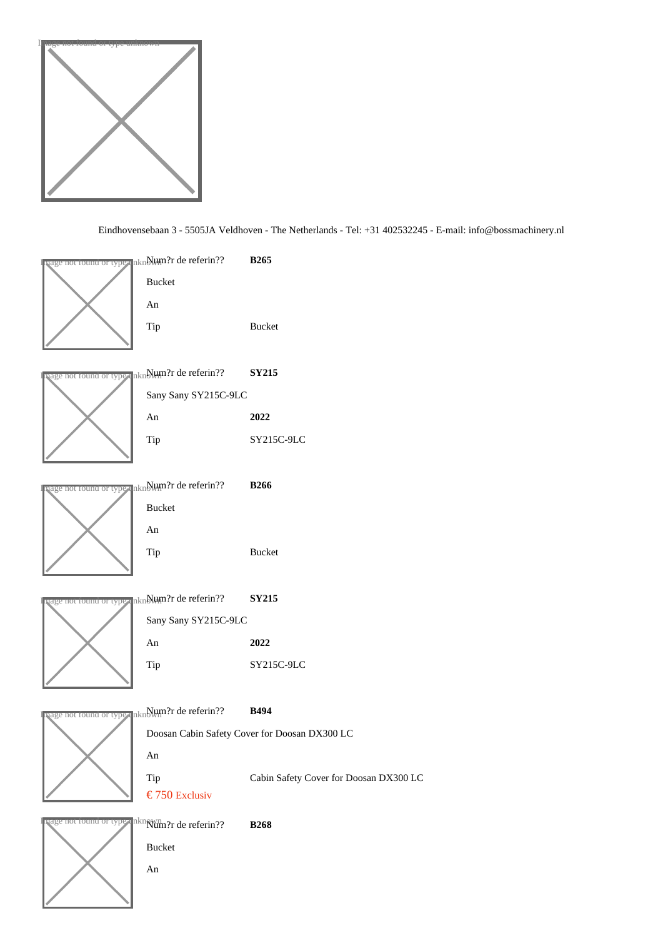

#### Eindhovensebaan 3 - 5505JA Veldhoven - The Netherlands - Tel: +31 402532245 - iafo@bossmachinery.nl

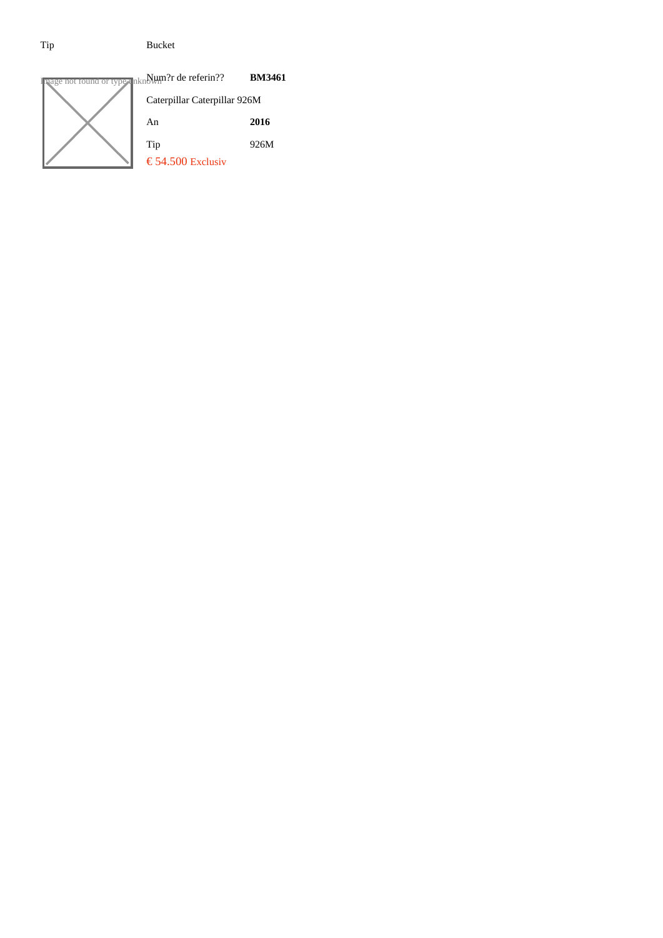# Tip Bucket